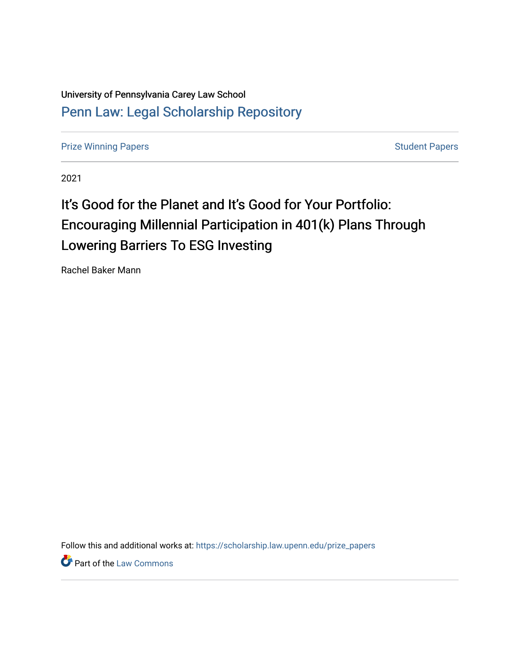University of Pennsylvania Carey Law School [Penn Law: Legal Scholarship Repository](https://scholarship.law.upenn.edu/)

[Prize Winning Papers](https://scholarship.law.upenn.edu/prize_papers) **Student Papers** [Student Papers](https://scholarship.law.upenn.edu/student_papers) Student Papers

2021

# It's Good for the Planet and It's Good for Your Portfolio: Encouraging Millennial Participation in 401(k) Plans Through Lowering Barriers To ESG Investing

Rachel Baker Mann

Follow this and additional works at: [https://scholarship.law.upenn.edu/prize\\_papers](https://scholarship.law.upenn.edu/prize_papers?utm_source=scholarship.law.upenn.edu%2Fprize_papers%2F17&utm_medium=PDF&utm_campaign=PDFCoverPages)

**Part of the [Law Commons](http://network.bepress.com/hgg/discipline/578?utm_source=scholarship.law.upenn.edu%2Fprize_papers%2F17&utm_medium=PDF&utm_campaign=PDFCoverPages)**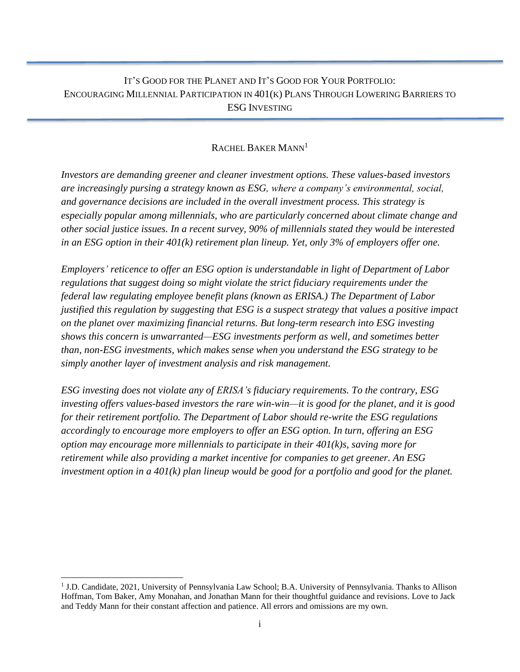# IT'S GOOD FOR THE PLANET AND IT'S GOOD FOR YOUR PORTFOLIO: ENCOURAGING MILLENNIAL PARTICIPATION IN 401(K) PLANS THROUGH LOWERING BARRIERS TO ESG INVESTING

## RACHEL BAKER MANN<sup>1</sup>

*Investors are demanding greener and cleaner investment options. These values-based investors are increasingly pursing a strategy known as ESG, where a company's environmental, social, and governance decisions are included in the overall investment process. This strategy is especially popular among millennials, who are particularly concerned about climate change and other social justice issues. In a recent survey, 90% of millennials stated they would be interested in an ESG option in their 401(k) retirement plan lineup. Yet, only 3% of employers offer one.* 

*Employers' reticence to offer an ESG option is understandable in light of Department of Labor regulations that suggest doing so might violate the strict fiduciary requirements under the federal law regulating employee benefit plans (known as ERISA.) The Department of Labor justified this regulation by suggesting that ESG is a suspect strategy that values a positive impact on the planet over maximizing financial returns. But long-term research into ESG investing shows this concern is unwarranted—ESG investments perform as well, and sometimes better than, non-ESG investments, which makes sense when you understand the ESG strategy to be simply another layer of investment analysis and risk management.*

*ESG investing does not violate any of ERISA's fiduciary requirements. To the contrary, ESG investing offers values-based investors the rare win-win—it is good for the planet, and it is good for their retirement portfolio. The Department of Labor should re-write the ESG regulations accordingly to encourage more employers to offer an ESG option. In turn, offering an ESG option may encourage more millennials to participate in their 401(k)s, saving more for retirement while also providing a market incentive for companies to get greener. An ESG investment option in a 401(k) plan lineup would be good for a portfolio and good for the planet.*

<sup>&</sup>lt;sup>1</sup> J.D. Candidate, 2021, University of Pennsylvania Law School; B.A. University of Pennsylvania. Thanks to Allison Hoffman, Tom Baker, Amy Monahan, and Jonathan Mann for their thoughtful guidance and revisions. Love to Jack and Teddy Mann for their constant affection and patience. All errors and omissions are my own.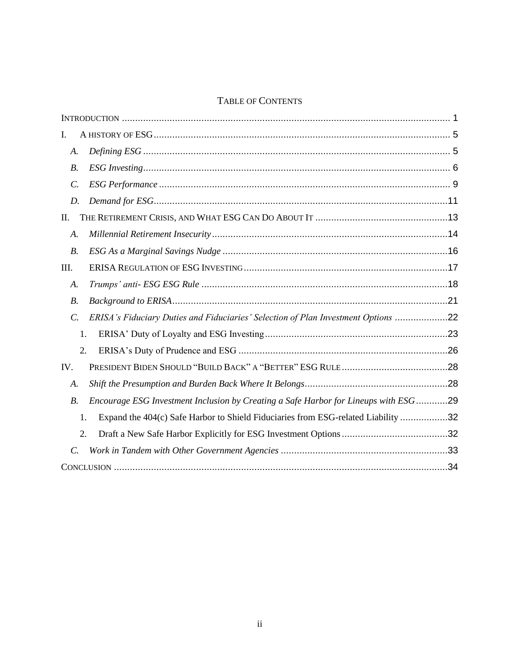# TABLE OF CONTENTS

| I.              |                                                                                      |  |
|-----------------|--------------------------------------------------------------------------------------|--|
| A.              |                                                                                      |  |
| $B$ .           |                                                                                      |  |
| $\mathcal{C}$ . |                                                                                      |  |
| D.              |                                                                                      |  |
| П.              |                                                                                      |  |
| A.              |                                                                                      |  |
| $B$ .           |                                                                                      |  |
| III.            |                                                                                      |  |
| A.              |                                                                                      |  |
| $B$ .           |                                                                                      |  |
| $\mathcal{C}$ . | ERISA's Fiduciary Duties and Fiduciaries' Selection of Plan Investment Options 22    |  |
| 1.              |                                                                                      |  |
| 2.              |                                                                                      |  |
| IV.             |                                                                                      |  |
| A.              |                                                                                      |  |
| <i>B</i> .      | Encourage ESG Investment Inclusion by Creating a Safe Harbor for Lineups with ESG 29 |  |
| 1.              | Expand the 404(c) Safe Harbor to Shield Fiduciaries from ESG-related Liability 32    |  |
| 2.              |                                                                                      |  |
| $\mathcal{C}$ . |                                                                                      |  |
|                 |                                                                                      |  |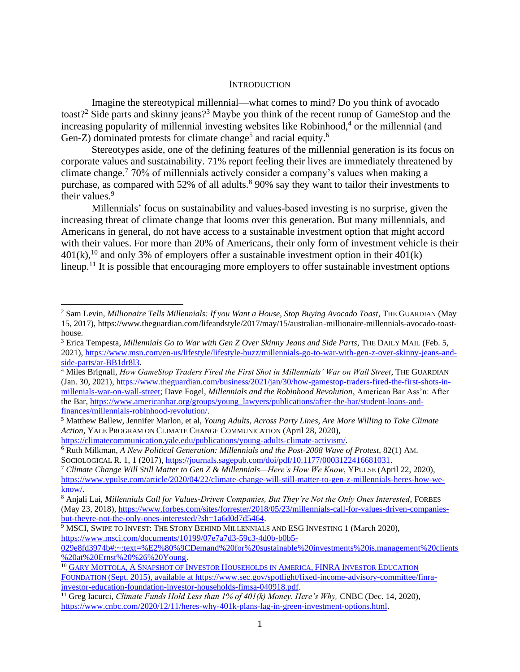#### **INTRODUCTION**

<span id="page-3-0"></span>Imagine the stereotypical millennial—what comes to mind? Do you think of avocado toast?<sup>2</sup> Side parts and skinny jeans?<sup>3</sup> Maybe you think of the recent runup of GameStop and the increasing popularity of millennial investing websites like Robinhood,<sup>4</sup> or the millennial (and Gen-Z) dominated protests for climate change<sup>5</sup> and racial equity.<sup>6</sup>

Stereotypes aside, one of the defining features of the millennial generation is its focus on corporate values and sustainability. 71% report feeling their lives are immediately threatened by climate change.<sup>7</sup> 70% of millennials actively consider a company's values when making a purchase, as compared with 52% of all adults.<sup>8</sup> 90% say they want to tailor their investments to their values.<sup>9</sup>

Millennials' focus on sustainability and values-based investing is no surprise, given the increasing threat of climate change that looms over this generation. But many millennials, and Americans in general, do not have access to a sustainable investment option that might accord with their values. For more than 20% of Americans, their only form of investment vehicle is their  $401(k)$ ,<sup>10</sup> and only 3% of employers offer a sustainable investment option in their  $401(k)$ lineup.<sup>11</sup> It is possible that encouraging more employers to offer sustainable investment options

[https://climatecommunication.yale.edu/publications/young-adults-climate-activism/.](https://climatecommunication.yale.edu/publications/young-adults-climate-activism/)

<sup>&</sup>lt;sup>2</sup> Sam Levin, *Millionaire Tells Millennials: If you Want a House, Stop Buying Avocado Toast*, THE GUARDIAN (May 15, 2017), https://www.theguardian.com/lifeandstyle/2017/may/15/australian-millionaire-millennials-avocado-toasthouse.

<sup>&</sup>lt;sup>3</sup> Erica Tempesta, *Millennials Go to War with Gen Z Over Skinny Jeans and Side Parts*, THE DAILY MAIL (Feb. 5, 2021), [https://www.msn.com/en-us/lifestyle/lifestyle-buzz/millennials-go-to-war-with-gen-z-over-skinny-jeans-and](https://www.msn.com/en-us/lifestyle/lifestyle-buzz/millennials-go-to-war-with-gen-z-over-skinny-jeans-and-side-parts/ar-BB1dr8l3)[side-parts/ar-BB1dr8l3.](https://www.msn.com/en-us/lifestyle/lifestyle-buzz/millennials-go-to-war-with-gen-z-over-skinny-jeans-and-side-parts/ar-BB1dr8l3)

<sup>4</sup> Miles Brignall, *How GameStop Traders Fired the First Shot in Millennials' War on Wall Street*, THE GUARDIAN (Jan. 30, 2021), [https://www.theguardian.com/business/2021/jan/30/how-gamestop-traders-fired-the-first-shots-in](https://www.theguardian.com/business/2021/jan/30/how-gamestop-traders-fired-the-first-shots-in-millenials-war-on-wall-street)[millenials-war-on-wall-street;](https://www.theguardian.com/business/2021/jan/30/how-gamestop-traders-fired-the-first-shots-in-millenials-war-on-wall-street) Dave Fogel, *Millennials and the Robinhood Revolution*, American Bar Ass'n: After the Bar, [https://www.americanbar.org/groups/young\\_lawyers/publications/after-the-bar/student-loans-and](https://www.americanbar.org/groups/young_lawyers/publications/after-the-bar/student-loans-and-finances/millennials-robinhood-revolution/)[finances/millennials-robinhood-revolution/.](https://www.americanbar.org/groups/young_lawyers/publications/after-the-bar/student-loans-and-finances/millennials-robinhood-revolution/)

<sup>5</sup> Matthew Ballew, Jennifer Marlon, et al, *Young Adults, Across Party Lines, Are More Willing to Take Climate Action,* YALE PROGRAM ON CLIMATE CHANGE COMMUNICATION (April 28, 2020),

<sup>6</sup> Ruth Milkman, *A New Political Generation: Millennials and the Post-2008 Wave of Protest,* 82(1) AM. SOCIOLOGICAL R. 1, 1 (2017), [https://journals.sagepub.com/doi/pdf/10.1177/0003122416681031.](https://journals.sagepub.com/doi/pdf/10.1177/0003122416681031)

<sup>7</sup> *Climate Change Will Still Matter to Gen Z & Millennials—Here's How We Know*, YPULSE (April 22, 2020), [https://www.ypulse.com/article/2020/04/22/climate-change-will-still-matter-to-gen-z-millennials-heres-how-we](https://www.ypulse.com/article/2020/04/22/climate-change-will-still-matter-to-gen-z-millennials-heres-how-we-know/)[know/.](https://www.ypulse.com/article/2020/04/22/climate-change-will-still-matter-to-gen-z-millennials-heres-how-we-know/)

<sup>8</sup> Anjali Lai, *Millennials Call for Values-Driven Companies, But They're Not the Only Ones Interested*, FORBES (May 23, 2018)[, https://www.forbes.com/sites/forrester/2018/05/23/millennials-call-for-values-driven-companies](https://www.forbes.com/sites/forrester/2018/05/23/millennials-call-for-values-driven-companies-but-theyre-not-the-only-ones-interested/?sh=1a6d0d7d5464)[but-theyre-not-the-only-ones-interested/?sh=1a6d0d7d5464.](https://www.forbes.com/sites/forrester/2018/05/23/millennials-call-for-values-driven-companies-but-theyre-not-the-only-ones-interested/?sh=1a6d0d7d5464)

<sup>&</sup>lt;sup>9</sup> MSCI, SWIPE TO INVEST: THE STORY BEHIND MILLENNIALS AND ESG INVESTING 1 (March 2020), [https://www.msci.com/documents/10199/07e7a7d3-59c3-4d0b-b0b5-](https://www.msci.com/documents/10199/07e7a7d3-59c3-4d0b-b0b5-029e8fd3974b#:~:text=%E2%80%9CDemand%20for%20sustainable%20investments%20is,management%20clients%20at%20Ernst%20%26%20Young)

[<sup>029</sup>e8fd3974b#:~:text=%E2%80%9CDemand%20for%20sustainable%20investments%20is,management%20clients](https://www.msci.com/documents/10199/07e7a7d3-59c3-4d0b-b0b5-029e8fd3974b#:~:text=%E2%80%9CDemand%20for%20sustainable%20investments%20is,management%20clients%20at%20Ernst%20%26%20Young) [%20at%20Ernst%20%26%20Young.](https://www.msci.com/documents/10199/07e7a7d3-59c3-4d0b-b0b5-029e8fd3974b#:~:text=%E2%80%9CDemand%20for%20sustainable%20investments%20is,management%20clients%20at%20Ernst%20%26%20Young)

<sup>&</sup>lt;sup>10</sup> GARY MOTTOLA, A SNAPSHOT OF INVESTOR H[OUSEHOLDS IN](file:///C:/Users/hoffman/Dropbox/Student%20Supervision/Independent%20Studies/Gary%20Mottola,%20A%20Snapshot%20of%20Investor%20Households%20in%20America,%20FINRA%20Investor%20Education%20Foundation%20(Sept.%202015),%20available%20at%20https:/www.sec.gov/spotlight/fixed-income-advisory-committee/finra-investor-education-foundation-investor-households-fimsa-040918.pdf) AMERICA, FINRA INVESTOR EDUCATION FOUNDATION [\(Sept. 2015\), available at https://www.sec.gov/spotlight/fixed-income-advisory-committee/finra](file:///C:/Users/hoffman/Dropbox/Student%20Supervision/Independent%20Studies/Gary%20Mottola,%20A%20Snapshot%20of%20Investor%20Households%20in%20America,%20FINRA%20Investor%20Education%20Foundation%20(Sept.%202015),%20available%20at%20https:/www.sec.gov/spotlight/fixed-income-advisory-committee/finra-investor-education-foundation-investor-households-fimsa-040918.pdf)[investor-education-foundation-investor-households-fimsa-040918.pdf.](file:///C:/Users/hoffman/Dropbox/Student%20Supervision/Independent%20Studies/Gary%20Mottola,%20A%20Snapshot%20of%20Investor%20Households%20in%20America,%20FINRA%20Investor%20Education%20Foundation%20(Sept.%202015),%20available%20at%20https:/www.sec.gov/spotlight/fixed-income-advisory-committee/finra-investor-education-foundation-investor-households-fimsa-040918.pdf)

<sup>&</sup>lt;sup>11</sup> Greg Iacurci, *Climate Funds Hold Less than 1% of 401(k) Money. Here's Why, CNBC (Dec. 14, 2020),* [https://www.cnbc.com/2020/12/11/heres-why-401k-plans-lag-in-green-investment-options.html.](https://www.cnbc.com/2020/12/11/heres-why-401k-plans-lag-in-green-investment-options.html)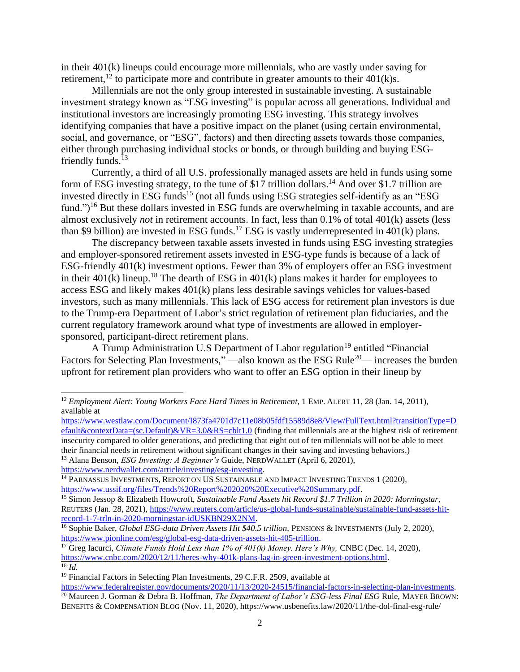in their 401(k) lineups could encourage more millennials, who are vastly under saving for retirement,<sup>12</sup> to participate more and contribute in greater amounts to their  $401(k)s$ .

Millennials are not the only group interested in sustainable investing. A sustainable investment strategy known as "ESG investing" is popular across all generations. Individual and institutional investors are increasingly promoting ESG investing. This strategy involves identifying companies that have a positive impact on the planet (using certain environmental, social, and governance, or "ESG", factors) and then directing assets towards those companies, either through purchasing individual stocks or bonds, or through building and buying ESGfriendly funds. $13$ 

Currently, a third of all U.S. professionally managed assets are held in funds using some form of ESG investing strategy, to the tune of \$17 trillion dollars.<sup>14</sup> And over \$1.7 trillion are invested directly in ESG funds<sup>15</sup> (not all funds using ESG strategies self-identify as an "ESG fund.")<sup>16</sup> But these dollars invested in ESG funds are overwhelming in taxable accounts, and are almost exclusively *not* in retirement accounts. In fact, less than 0.1% of total 401(k) assets (less than \$9 billion) are invested in ESG funds.<sup>17</sup> ESG is vastly underrepresented in  $401(k)$  plans.

The discrepancy between taxable assets invested in funds using ESG investing strategies and employer-sponsored retirement assets invested in ESG-type funds is because of a lack of ESG-friendly 401(k) investment options. Fewer than 3% of employers offer an ESG investment in their  $401(k)$  lineup.<sup>18</sup> The dearth of ESG in  $401(k)$  plans makes it harder for employees to access ESG and likely makes 401(k) plans less desirable savings vehicles for values-based investors, such as many millennials. This lack of ESG access for retirement plan investors is due to the Trump-era Department of Labor's strict regulation of retirement plan fiduciaries, and the current regulatory framework around what type of investments are allowed in employersponsored, participant-direct retirement plans.

A Trump Administration U.S Department of Labor regulation<sup>19</sup> entitled "Financial" Factors for Selecting Plan Investments," —also known as the ESG Rule<sup>20</sup>— increases the burden upfront for retirement plan providers who want to offer an ESG option in their lineup by

<sup>&</sup>lt;sup>12</sup> *Employment Alert: Young Workers Face Hard Times in Retirement*, 1 *EMP. ALERT 11, 28 (Jan. 14, 2011)*, available at

[https://www.westlaw.com/Document/I873fa4701d7c11e08b05fdf15589d8e8/View/FullText.html?transitionType=D](https://www.westlaw.com/Document/I873fa4701d7c11e08b05fdf15589d8e8/View/FullText.html?transitionType=Default&contextData=(sc.Default)&VR=3.0&RS=cblt1.0) [efault&contextData=\(sc.Default\)&VR=3.0&RS=cblt1.0](https://www.westlaw.com/Document/I873fa4701d7c11e08b05fdf15589d8e8/View/FullText.html?transitionType=Default&contextData=(sc.Default)&VR=3.0&RS=cblt1.0) (finding that millennials are at the highest risk of retirement insecurity compared to older generations, and predicting that eight out of ten millennials will not be able to meet their financial needs in retirement without significant changes in their saving and investing behaviors.) <sup>13</sup> Alana Benson, *ESG Investing: A Beginner's* Guide, NERDWALLET (April 6, 20201), [https://www.nerdwallet.com/article/investing/esg-investing.](https://www.nerdwallet.com/article/investing/esg-investing)

<sup>&</sup>lt;sup>14</sup> PARNASSUS INVESTMENTS, REPORT ON US SUSTAINABLE AND IMPACT INVESTING TRENDS 1 (2020), [https://www.ussif.org/files/Trends%20Report%202020%20Executive%20Summary.pdf.](https://www.ussif.org/files/Trends%20Report%202020%20Executive%20Summary.pdf)

<sup>15</sup> Simon Jessop & Elizabeth Howcroft, *Sustainable Fund Assets hit Record \$1.7 Trillion in 2020: Morningstar,*  REUTERS (Jan. 28, 2021), [https://www.reuters.com/article/us-global-funds-sustainable/sustainable-fund-assets-hit](https://www.reuters.com/article/us-global-funds-sustainable/sustainable-fund-assets-hit-record-1-7-trln-in-2020-morningstar-idUSKBN29X2NM)[record-1-7-trln-in-2020-morningstar-idUSKBN29X2NM.](https://www.reuters.com/article/us-global-funds-sustainable/sustainable-fund-assets-hit-record-1-7-trln-in-2020-morningstar-idUSKBN29X2NM)

<sup>&</sup>lt;sup>16</sup> Sophie Baker, *Global ESG-data Driven Assets Hit \$40.5 trillion*, PENSIONS & INVESTMENTS (July 2, 2020), [https://www.pionline.com/esg/global-esg-data-driven-assets-hit-405-trillion.](https://www.pionline.com/esg/global-esg-data-driven-assets-hit-405-trillion)

<sup>&</sup>lt;sup>17</sup> Greg Iacurci, *Climate Funds Hold Less than 1% of 401(k) Money. Here's Why, CNBC (Dec. 14, 2020),* [https://www.cnbc.com/2020/12/11/heres-why-401k-plans-lag-in-green-investment-options.html.](https://www.cnbc.com/2020/12/11/heres-why-401k-plans-lag-in-green-investment-options.html) <sup>18</sup> *Id.*

 $19$  Financial Factors in Selecting Plan Investments, 29 C.F.R. 2509, available at

[https://www.federalregister.gov/documents/2020/11/13/2020-24515/financial-factors-in-selecting-plan-investments.](https://www.federalregister.gov/documents/2020/11/13/2020-24515/financial-factors-in-selecting-plan-investments) <sup>20</sup> Maureen J. Gorman & Debra B. Hoffman, *The Department of Labor's ESG-less Final ESG* Rule, MAYER BROWN:

BENEFITS & COMPENSATION BLOG (Nov. 11, 2020), https://www.usbenefits.law/2020/11/the-dol-final-esg-rule/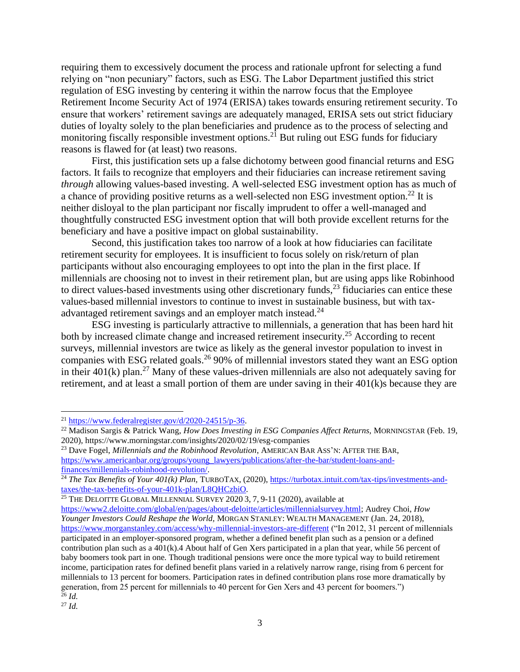requiring them to excessively document the process and rationale upfront for selecting a fund relying on "non pecuniary" factors, such as ESG. The Labor Department justified this strict regulation of ESG investing by centering it within the narrow focus that the Employee Retirement Income Security Act of 1974 (ERISA) takes towards ensuring retirement security. To ensure that workers' retirement savings are adequately managed, ERISA sets out strict fiduciary duties of loyalty solely to the plan beneficiaries and prudence as to the process of selecting and monitoring fiscally responsible investment options.<sup>21</sup> But ruling out ESG funds for fiduciary reasons is flawed for (at least) two reasons.

First, this justification sets up a false dichotomy between good financial returns and ESG factors. It fails to recognize that employers and their fiduciaries can increase retirement saving *through* allowing values-based investing. A well-selected ESG investment option has as much of a chance of providing positive returns as a well-selected non ESG investment option.<sup>22</sup> It is neither disloyal to the plan participant nor fiscally imprudent to offer a well-managed and thoughtfully constructed ESG investment option that will both provide excellent returns for the beneficiary and have a positive impact on global sustainability.

Second, this justification takes too narrow of a look at how fiduciaries can facilitate retirement security for employees. It is insufficient to focus solely on risk/return of plan participants without also encouraging employees to opt into the plan in the first place. If millennials are choosing not to invest in their retirement plan, but are using apps like Robinhood to direct values-based investments using other discretionary funds,  $2<sup>3</sup>$  fiduciaries can entice these values-based millennial investors to continue to invest in sustainable business, but with taxadvantaged retirement savings and an employer match instead.<sup>24</sup>

ESG investing is particularly attractive to millennials, a generation that has been hard hit both by increased climate change and increased retirement insecurity.<sup>25</sup> According to recent surveys, millennial investors are twice as likely as the general investor population to invest in companies with ESG related goals.<sup>26</sup> 90% of millennial investors stated they want an ESG option in their  $401(k)$  plan.<sup>27</sup> Many of these values-driven millennials are also not adequately saving for retirement, and at least a small portion of them are under saving in their 401(k)s because they are

<sup>23</sup> Dave Fogel, *Millennials and the Robinhood Revolution*, AMERICAN BAR ASS'N: AFTER THE BAR, [https://www.americanbar.org/groups/young\\_lawyers/publications/after-the-bar/student-loans-and](https://www.americanbar.org/groups/young_lawyers/publications/after-the-bar/student-loans-and-finances/millennials-robinhood-revolution/)[finances/millennials-robinhood-revolution/.](https://www.americanbar.org/groups/young_lawyers/publications/after-the-bar/student-loans-and-finances/millennials-robinhood-revolution/)

 $25$  THE DELOITTE GLOBAL MILLENNIAL SURVEY 2020 3, 7, 9-11 (2020), available at

[https://www2.deloitte.com/global/en/pages/about-deloitte/articles/millennialsurvey.html;](https://www2.deloitte.com/global/en/pages/about-deloitte/articles/millennialsurvey.html) Audrey Choi, *How Younger Investors Could Reshape the World,* MORGAN STANLEY: WEALTH MANAGEMENT (Jan. 24, 2018), <https://www.morganstanley.com/access/why-millennial-investors-are-different> ("In 2012, 31 percent of millennials participated in an employer-sponsored program, whether a defined benefit plan such as a pension or a defined contribution plan such as a  $401(k)$ . A About half of Gen Xers participated in a plan that year, while 56 percent of baby boomers took part in one. Though traditional pensions were once the more typical way to build retirement income, participation rates for defined benefit plans varied in a relatively narrow range, rising from 6 percent for millennials to 13 percent for boomers. Participation rates in defined contribution plans rose more dramatically by generation, from 25 percent for millennials to 40 percent for Gen Xers and 43 percent for boomers.") <sup>26</sup> *Id.*

 $^{21}$  [https://www.federalregister.gov/d/2020-24515/p-36.](https://www.federalregister.gov/d/2020-24515/p-36)

<sup>22</sup> Madison Sargis & Patrick Wang, *How Does Investing in ESG Companies Affect Returns,* MORNINGSTAR (Feb. 19, 2020), https://www.morningstar.com/insights/2020/02/19/esg-companies

<sup>&</sup>lt;sup>24</sup> *The Tax Benefits of Your 401(k) Plan,* TURBOTAX, (2020), [https://turbotax.intuit.com/tax-tips/investments-and](https://turbotax.intuit.com/tax-tips/investments-and-taxes/the-tax-benefits-of-your-401k-plan/L8QHCzbiO)[taxes/the-tax-benefits-of-your-401k-plan/L8QHCzbiO.](https://turbotax.intuit.com/tax-tips/investments-and-taxes/the-tax-benefits-of-your-401k-plan/L8QHCzbiO)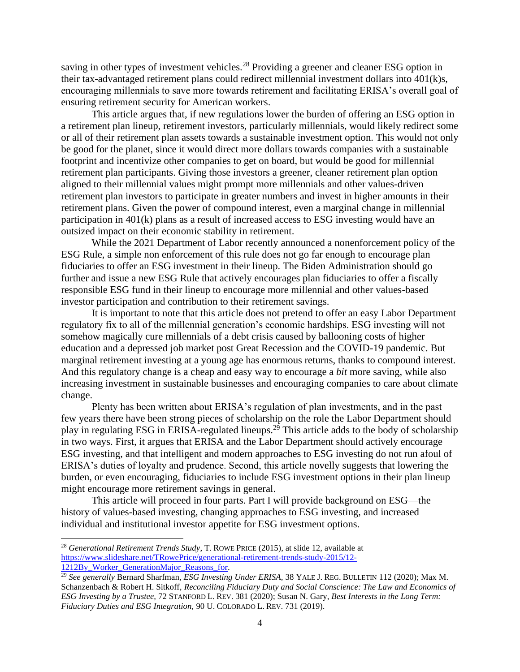saving in other types of investment vehicles.<sup>28</sup> Providing a greener and cleaner ESG option in their tax-advantaged retirement plans could redirect millennial investment dollars into 401(k)s, encouraging millennials to save more towards retirement and facilitating ERISA's overall goal of ensuring retirement security for American workers.

This article argues that, if new regulations lower the burden of offering an ESG option in a retirement plan lineup, retirement investors, particularly millennials, would likely redirect some or all of their retirement plan assets towards a sustainable investment option. This would not only be good for the planet, since it would direct more dollars towards companies with a sustainable footprint and incentivize other companies to get on board, but would be good for millennial retirement plan participants. Giving those investors a greener, cleaner retirement plan option aligned to their millennial values might prompt more millennials and other values-driven retirement plan investors to participate in greater numbers and invest in higher amounts in their retirement plans. Given the power of compound interest, even a marginal change in millennial participation in 401(k) plans as a result of increased access to ESG investing would have an outsized impact on their economic stability in retirement.

While the 2021 Department of Labor recently announced a nonenforcement policy of the ESG Rule, a simple non enforcement of this rule does not go far enough to encourage plan fiduciaries to offer an ESG investment in their lineup. The Biden Administration should go further and issue a new ESG Rule that actively encourages plan fiduciaries to offer a fiscally responsible ESG fund in their lineup to encourage more millennial and other values-based investor participation and contribution to their retirement savings.

It is important to note that this article does not pretend to offer an easy Labor Department regulatory fix to all of the millennial generation's economic hardships. ESG investing will not somehow magically cure millennials of a debt crisis caused by ballooning costs of higher education and a depressed job market post Great Recession and the COVID-19 pandemic. But marginal retirement investing at a young age has enormous returns, thanks to compound interest. And this regulatory change is a cheap and easy way to encourage a *bit* more saving, while also increasing investment in sustainable businesses and encouraging companies to care about climate change.

Plenty has been written about ERISA's regulation of plan investments, and in the past few years there have been strong pieces of scholarship on the role the Labor Department should play in regulating ESG in ERISA-regulated lineups.<sup>29</sup> This article adds to the body of scholarship in two ways. First, it argues that ERISA and the Labor Department should actively encourage ESG investing, and that intelligent and modern approaches to ESG investing do not run afoul of ERISA's duties of loyalty and prudence. Second, this article novelly suggests that lowering the burden, or even encouraging, fiduciaries to include ESG investment options in their plan lineup might encourage more retirement savings in general.

This article will proceed in four parts. Part I will provide background on ESG—the history of values-based investing, changing approaches to ESG investing, and increased individual and institutional investor appetite for ESG investment options.

<sup>28</sup> *Generational Retirement Trends Study*, T. ROWE PRICE (2015), at slide 12, available at [https://www.slideshare.net/TRowePrice/generational-retirement-trends-study-2015/12-](https://www.slideshare.net/TRowePrice/generational-retirement-trends-study-2015/12-1212By_Worker_GenerationMajor_Reasons_for) 1212By Worker GenerationMajor Reasons for.

<sup>29</sup> *See generally* Bernard Sharfman, *ESG Investing Under ERISA,* 38 YALE J. REG. BULLETIN 112 (2020); Max M. Schanzenbach & Robert H. Sitkoff, *Reconciling Fiduciary Duty and Social Conscience: The Law and Economics of ESG Investing by a Trustee,* 72 STANFORD L. REV. 381 (2020); Susan N. Gary, *Best Interests in the Long Term: Fiduciary Duties and ESG Integration,* 90 U. COLORADO L. REV. 731 (2019).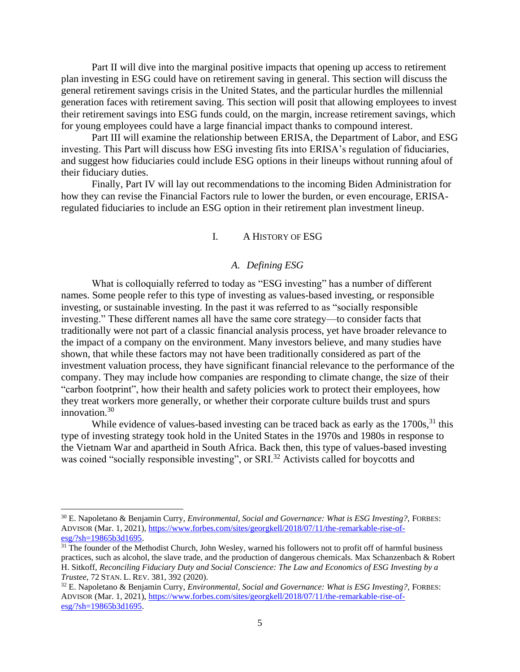Part II will dive into the marginal positive impacts that opening up access to retirement plan investing in ESG could have on retirement saving in general. This section will discuss the general retirement savings crisis in the United States, and the particular hurdles the millennial generation faces with retirement saving. This section will posit that allowing employees to invest their retirement savings into ESG funds could, on the margin, increase retirement savings, which for young employees could have a large financial impact thanks to compound interest.

Part III will examine the relationship between ERISA, the Department of Labor, and ESG investing. This Part will discuss how ESG investing fits into ERISA's regulation of fiduciaries, and suggest how fiduciaries could include ESG options in their lineups without running afoul of their fiduciary duties.

<span id="page-7-0"></span>Finally, Part IV will lay out recommendations to the incoming Biden Administration for how they can revise the Financial Factors rule to lower the burden, or even encourage, ERISAregulated fiduciaries to include an ESG option in their retirement plan investment lineup.

#### I. A HISTORY OF ESG

#### *A. Defining ESG*

<span id="page-7-1"></span>What is colloquially referred to today as "ESG investing" has a number of different names. Some people refer to this type of investing as values-based investing, or responsible investing, or sustainable investing. In the past it was referred to as "socially responsible investing." These different names all have the same core strategy—to consider facts that traditionally were not part of a classic financial analysis process, yet have broader relevance to the impact of a company on the environment. Many investors believe, and many studies have shown, that while these factors may not have been traditionally considered as part of the investment valuation process, they have significant financial relevance to the performance of the company. They may include how companies are responding to climate change, the size of their "carbon footprint", how their health and safety policies work to protect their employees, how they treat workers more generally, or whether their corporate culture builds trust and spurs innovation.<sup>30</sup>

While evidence of values-based investing can be traced back as early as the  $1700s$ ,  $31$  this type of investing strategy took hold in the United States in the 1970s and 1980s in response to the Vietnam War and apartheid in South Africa. Back then, this type of values-based investing was coined "socially responsible investing", or SRI.<sup>32</sup> Activists called for boycotts and

<sup>30</sup> E. Napoletano & Benjamin Curry, *Environmental, Social and Governance: What is ESG Investing?,* FORBES: ADVISOR (Mar. 1, 2021), [https://www.forbes.com/sites/georgkell/2018/07/11/the-remarkable-rise-of](https://www.forbes.com/sites/georgkell/2018/07/11/the-remarkable-rise-of-esg/?sh=19865b3d1695) $esg$ /?sh=19865b3d1695.

<sup>&</sup>lt;sup>31</sup> The founder of the Methodist Church, John Wesley, warned his followers not to profit off of harmful business practices, such as alcohol, the slave trade, and the production of dangerous chemicals. Max Schanzenbach & Robert H. Sitkoff, *Reconciling Fiduciary Duty and Social Conscience: The Law and Economics of ESG Investing by a Trustee*, 72 STAN. L. REV. 381, 392 (2020).

<sup>32</sup> E. Napoletano & Benjamin Curry, *Environmental, Social and Governance: What is ESG Investing?,* FORBES: ADVISOR (Mar. 1, 2021), [https://www.forbes.com/sites/georgkell/2018/07/11/the-remarkable-rise-of](https://www.forbes.com/sites/georgkell/2018/07/11/the-remarkable-rise-of-esg/?sh=19865b3d1695)[esg/?sh=19865b3d1695.](https://www.forbes.com/sites/georgkell/2018/07/11/the-remarkable-rise-of-esg/?sh=19865b3d1695)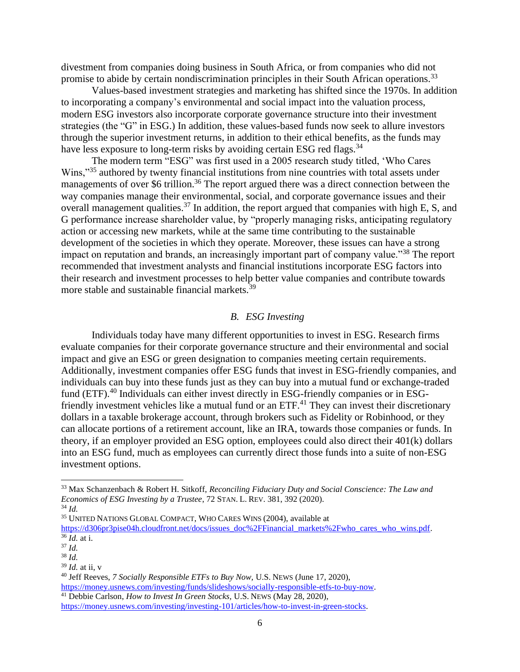divestment from companies doing business in South Africa, or from companies who did not promise to abide by certain nondiscrimination principles in their South African operations.<sup>33</sup>

Values-based investment strategies and marketing has shifted since the 1970s. In addition to incorporating a company's environmental and social impact into the valuation process, modern ESG investors also incorporate corporate governance structure into their investment strategies (the "G" in ESG.) In addition, these values-based funds now seek to allure investors through the superior investment returns, in addition to their ethical benefits, as the funds may have less exposure to long-term risks by avoiding certain ESG red flags.<sup>34</sup>

The modern term "ESG" was first used in a 2005 research study titled, 'Who Cares Wins,"<sup>35</sup> authored by twenty financial institutions from nine countries with total assets under managements of over \$6 trillion.<sup>36</sup> The report argued there was a direct connection between the way companies manage their environmental, social, and corporate governance issues and their overall management qualities.<sup>37</sup> In addition, the report argued that companies with high E, S, and G performance increase shareholder value, by "properly managing risks, anticipating regulatory action or accessing new markets, while at the same time contributing to the sustainable development of the societies in which they operate. Moreover, these issues can have a strong impact on reputation and brands, an increasingly important part of company value."<sup>38</sup> The report recommended that investment analysts and financial institutions incorporate ESG factors into their research and investment processes to help better value companies and contribute towards more stable and sustainable financial markets.<sup>39</sup>

## *B. ESG Investing*

<span id="page-8-0"></span>Individuals today have many different opportunities to invest in ESG. Research firms evaluate companies for their corporate governance structure and their environmental and social impact and give an ESG or green designation to companies meeting certain requirements. Additionally, investment companies offer ESG funds that invest in ESG-friendly companies, and individuals can buy into these funds just as they can buy into a mutual fund or exchange-traded fund (ETF).<sup>40</sup> Individuals can either invest directly in ESG-friendly companies or in ESGfriendly investment vehicles like a mutual fund or an ETF.<sup>41</sup> They can invest their discretionary dollars in a taxable brokerage account, through brokers such as Fidelity or Robinhood, or they can allocate portions of a retirement account, like an IRA, towards those companies or funds. In theory, if an employer provided an ESG option, employees could also direct their 401(k) dollars into an ESG fund, much as employees can currently direct those funds into a suite of non-ESG investment options.

<sup>35</sup> UNITED NATIONS GLOBAL COMPACT, WHO CARES WINS (2004), available at

[https://d306pr3pise04h.cloudfront.net/docs/issues\\_doc%2FFinancial\\_markets%2Fwho\\_cares\\_who\\_wins.pdf.](https://d306pr3pise04h.cloudfront.net/docs/issues_doc%2FFinancial_markets%2Fwho_cares_who_wins.pdf) <sup>36</sup> *Id.* at i.

<sup>33</sup> Max Schanzenbach & Robert H. Sitkoff, *Reconciling Fiduciary Duty and Social Conscience: The Law and Economics of ESG Investing by a Trustee*, 72 STAN. L. REV. 381, 392 (2020).

<sup>34</sup> *Id.*

<sup>37</sup> *Id.*

<sup>38</sup> *Id.*

<sup>39</sup> *Id.* at ii, v

<sup>40</sup> Jeff Reeves, *7 Socially Responsible ETFs to Buy Now,* U.S. NEWS (June 17, 2020),

[https://money.usnews.com/investing/funds/slideshows/socially-responsible-etfs-to-buy-now.](https://money.usnews.com/investing/funds/slideshows/socially-responsible-etfs-to-buy-now)  <sup>41</sup> Debbie Carlson, *How to Invest In Green Stocks,* U.S. NEWS (May 28, 2020),

[https://money.usnews.com/investing/investing-101/articles/how-to-invest-in-green-stocks.](https://money.usnews.com/investing/investing-101/articles/how-to-invest-in-green-stocks)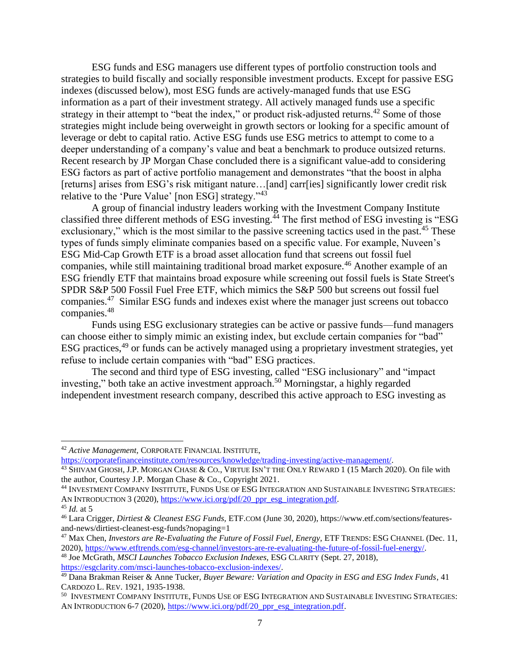ESG funds and ESG managers use different types of portfolio construction tools and strategies to build fiscally and socially responsible investment products. Except for passive ESG indexes (discussed below), most ESG funds are actively-managed funds that use ESG information as a part of their investment strategy. All actively managed funds use a specific strategy in their attempt to "beat the index," or product risk-adjusted returns.<sup>42</sup> Some of those strategies might include being overweight in growth sectors or looking for a specific amount of leverage or debt to capital ratio. Active ESG funds use ESG metrics to attempt to come to a deeper understanding of a company's value and beat a benchmark to produce outsized returns. Recent research by JP Morgan Chase concluded there is a significant value-add to considering ESG factors as part of active portfolio management and demonstrates "that the boost in alpha [returns] arises from ESG's risk mitigant nature...[and] carr[ies] significantly lower credit risk relative to the 'Pure Value' [non ESG] strategy."<sup>43</sup>

A group of financial industry leaders working with the Investment Company Institute classified three different methods of ESG investing.<sup>44</sup> The first method of ESG investing is "ESG exclusionary," which is the most similar to the passive screening tactics used in the past.<sup>45</sup> These types of funds simply eliminate companies based on a specific value. For example, Nuveen's ESG Mid-Cap Growth ETF is a broad asset allocation fund that screens out fossil fuel companies, while still maintaining traditional broad market exposure.<sup>46</sup> Another example of an ESG friendly ETF that maintains broad exposure while screening out fossil fuels is State Street's SPDR S&P 500 Fossil Fuel Free ETF, which mimics the S&P 500 but screens out fossil fuel companies.<sup>47</sup> Similar ESG funds and indexes exist where the manager just screens out tobacco companies.<sup>48</sup>

Funds using ESG exclusionary strategies can be active or passive funds—fund managers can choose either to simply mimic an existing index, but exclude certain companies for "bad" ESG practices,<sup>49</sup> or funds can be actively managed using a proprietary investment strategies, yet refuse to include certain companies with "bad" ESG practices.

The second and third type of ESG investing, called "ESG inclusionary" and "impact investing," both take an active investment approach.<sup>50</sup> Morningstar, a highly regarded independent investment research company, described this active approach to ESG investing as

<sup>42</sup> *Active Management,* CORPORATE FINANCIAL INSTITUTE,

[https://corporatefinanceinstitute.com/resources/knowledge/trading-investing/active-management/.](https://corporatefinanceinstitute.com/resources/knowledge/trading-investing/active-management/)

<sup>&</sup>lt;sup>43</sup> SHIVAM GHOSH, J.P. MORGAN CHASE & CO., VIRTUE ISN'T THE ONLY REWARD 1 (15 March 2020). On file with the author, Courtesy J.P. Morgan Chase & Co., Copyright 2021.

<sup>44</sup> INVESTMENT COMPANY INSTITUTE, FUNDS USE OF ESG INTEGRATION AND SUSTAINABLE INVESTING STRATEGIES: AN INTRODUCTION 3 (2020), [https://www.ici.org/pdf/20\\_ppr\\_esg\\_integration.pdf.](https://www.ici.org/pdf/20_ppr_esg_integration.pdf)

<sup>45</sup> *Id.* at 5

<sup>46</sup> Lara Crigger, *Dirtiest & Cleanest ESG Funds,* ETF.COM (June 30, 2020), https://www.etf.com/sections/featuresand-news/dirtiest-cleanest-esg-funds?nopaging=1

<sup>&</sup>lt;sup>47</sup> Max Chen, *Investors are Re-Evaluating the Future of Fossil Fuel, Energy, ETF TRENDS: ESG CHANNEL (Dec. 11, CHANNEL (Dec. 11,* 2020), [https://www.etftrends.com/esg-channel/investors-are-re-evaluating-the-future-of-fossil-fuel-energy/.](https://www.etftrends.com/esg-channel/investors-are-re-evaluating-the-future-of-fossil-fuel-energy/)

<sup>48</sup> Joe McGrath, *MSCI Launches Tobacco Exclusion Indexes,* ESG CLARITY (Sept. 27, 2018), [https://esgclarity.com/msci-launches-tobacco-exclusion-indexes/.](https://esgclarity.com/msci-launches-tobacco-exclusion-indexes/)

<sup>49</sup> Dana Brakman Reiser & Anne Tucker, *Buyer Beware: Variation and Opacity in ESG and ESG Index Funds*, 41 CARDOZO L. REV. 1921, 1935-1938.

 $^{\rm 50}$  Investment Company Institute, Funds Use of ESG Integration and Sustainable Investing Strategies: AN INTRODUCTION 6-7 (2020)[, https://www.ici.org/pdf/20\\_ppr\\_esg\\_integration.pdf.](https://www.ici.org/pdf/20_ppr_esg_integration.pdf)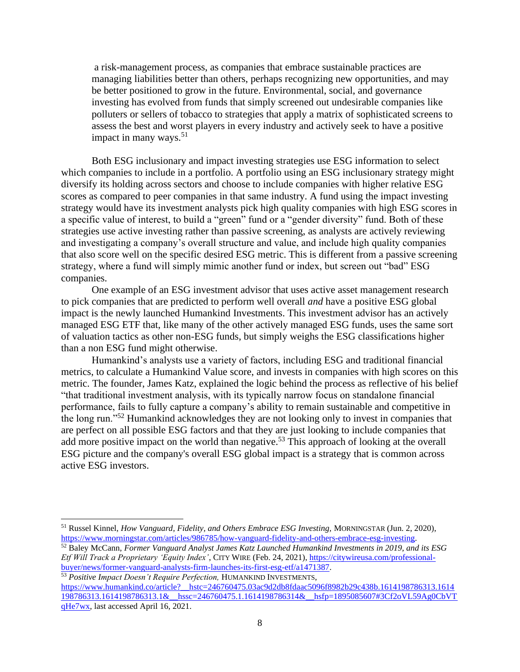a risk-management process, as companies that embrace sustainable practices are managing liabilities better than others, perhaps recognizing new opportunities, and may be better positioned to grow in the future. Environmental, social, and governance investing has evolved from funds that simply screened out undesirable companies like polluters or sellers of tobacco to strategies that apply a matrix of sophisticated screens to assess the best and worst players in every industry and actively seek to have a positive impact in many ways.  $51$ 

Both ESG inclusionary and impact investing strategies use ESG information to select which companies to include in a portfolio. A portfolio using an ESG inclusionary strategy might diversify its holding across sectors and choose to include companies with higher relative ESG scores as compared to peer companies in that same industry. A fund using the impact investing strategy would have its investment analysts pick high quality companies with high ESG scores in a specific value of interest, to build a "green" fund or a "gender diversity" fund. Both of these strategies use active investing rather than passive screening, as analysts are actively reviewing and investigating a company's overall structure and value, and include high quality companies that also score well on the specific desired ESG metric. This is different from a passive screening strategy, where a fund will simply mimic another fund or index, but screen out "bad" ESG companies.

One example of an ESG investment advisor that uses active asset management research to pick companies that are predicted to perform well overall *and* have a positive ESG global impact is the newly launched Humankind Investments. This investment advisor has an actively managed ESG ETF that, like many of the other actively managed ESG funds, uses the same sort of valuation tactics as other non-ESG funds, but simply weighs the ESG classifications higher than a non ESG fund might otherwise.

Humankind's analysts use a variety of factors, including ESG and traditional financial metrics, to calculate a Humankind Value score, and invests in companies with high scores on this metric. The founder, James Katz, explained the logic behind the process as reflective of his belief "that traditional investment analysis, with its typically narrow focus on standalone financial performance, fails to fully capture a company's ability to remain sustainable and competitive in the long run."<sup>52</sup> Humankind acknowledges they are not looking only to invest in companies that are perfect on all possible ESG factors and that they are just looking to include companies that add more positive impact on the world than negative.<sup>53</sup> This approach of looking at the overall ESG picture and the company's overall ESG global impact is a strategy that is common across active ESG investors.

<sup>51</sup> Russel Kinnel, *How Vanguard, Fidelity, and Others Embrace ESG Investing,* MORNINGSTAR (Jun. 2, 2020), [https://www.morningstar.com/articles/986785/how-vanguard-fidelity-and-others-embrace-esg-investing.](https://www.morningstar.com/articles/986785/how-vanguard-fidelity-and-others-embrace-esg-investing)

<sup>52</sup> Baley McCann, *Former Vanguard Analyst James Katz Launched Humankind Investments in 2019, and its ESG Etf Will Track a Proprietary 'Equity Index'*, CITY WIRE (Feb. 24, 2021), [https://citywireusa.com/professional](https://citywireusa.com/professional-buyer/news/former-vanguard-analysts-firm-launches-its-first-esg-etf/a1471387)[buyer/news/former-vanguard-analysts-firm-launches-its-first-esg-etf/a1471387.](https://citywireusa.com/professional-buyer/news/former-vanguard-analysts-firm-launches-its-first-esg-etf/a1471387)

<sup>53</sup> *Positive Impact Doesn't Require Perfection,* HUMANKIND INVESTMENTS, [https://www.humankind.co/article?\\_\\_hstc=246760475.03ac9d2db8fdaac5096f8982b29c438b.1614198786313.1614](https://www.humankind.co/article?__hstc=246760475.03ac9d2db8fdaac5096f8982b29c438b.1614198786313.1614198786313.1614198786313.1&__hssc=246760475.1.1614198786314&__hsfp=1895085607#3Cf2oVL59Ag0CbVTqHe7wx) [198786313.1614198786313.1&\\_\\_hssc=246760475.1.1614198786314&\\_\\_hsfp=1895085607#3Cf2oVL59Ag0CbVT](https://www.humankind.co/article?__hstc=246760475.03ac9d2db8fdaac5096f8982b29c438b.1614198786313.1614198786313.1614198786313.1&__hssc=246760475.1.1614198786314&__hsfp=1895085607#3Cf2oVL59Ag0CbVTqHe7wx) [qHe7wx,](https://www.humankind.co/article?__hstc=246760475.03ac9d2db8fdaac5096f8982b29c438b.1614198786313.1614198786313.1614198786313.1&__hssc=246760475.1.1614198786314&__hsfp=1895085607#3Cf2oVL59Ag0CbVTqHe7wx) last accessed April 16, 2021.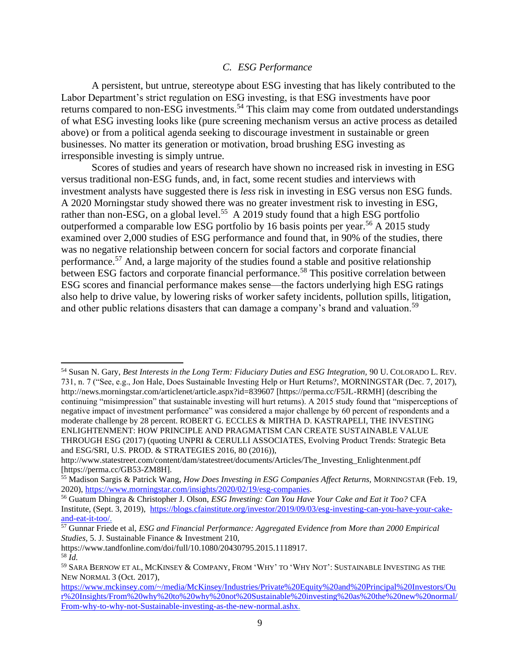#### *C. ESG Performance*

<span id="page-11-0"></span>A persistent, but untrue, stereotype about ESG investing that has likely contributed to the Labor Department's strict regulation on ESG investing, is that ESG investments have poor returns compared to non-ESG investments.<sup>54</sup> This claim may come from outdated understandings of what ESG investing looks like (pure screening mechanism versus an active process as detailed above) or from a political agenda seeking to discourage investment in sustainable or green businesses. No matter its generation or motivation, broad brushing ESG investing as irresponsible investing is simply untrue.

Scores of studies and years of research have shown no increased risk in investing in ESG versus traditional non-ESG funds, and, in fact, some recent studies and interviews with investment analysts have suggested there is *less* risk in investing in ESG versus non ESG funds. A 2020 Morningstar study showed there was no greater investment risk to investing in ESG, rather than non-ESG, on a global level.<sup>55</sup> A 2019 study found that a high ESG portfolio outperformed a comparable low ESG portfolio by 16 basis points per year.<sup>56</sup> A 2015 study examined over 2,000 studies of ESG performance and found that, in 90% of the studies, there was no negative relationship between concern for social factors and corporate financial performance.<sup>57</sup> And, a large majority of the studies found a stable and positive relationship between ESG factors and corporate financial performance.<sup>58</sup> This positive correlation between ESG scores and financial performance makes sense—the factors underlying high ESG ratings also help to drive value, by lowering risks of worker safety incidents, pollution spills, litigation, and other public relations disasters that can damage a company's brand and valuation.<sup>59</sup>

<sup>54</sup> Susan N. Gary, *Best Interests in the Long Term: Fiduciary Duties and ESG Integration,* 90 U. COLORADO L. REV. 731, n. 7 ("See, e.g., Jon Hale, Does Sustainable Investing Help or Hurt Returns?, MORNINGSTAR (Dec. 7, 2017), http://news.morningstar.com/articlenet/article.aspx?id=839607 [https://perma.cc/F5JL-RRMH] (describing the continuing "misimpression" that sustainable investing will hurt returns). A 2015 study found that "misperceptions of negative impact of investment performance" was considered a major challenge by 60 percent of respondents and a moderate challenge by 28 percent. ROBERT G. ECCLES & MIRTHA D. KASTRAPELI, THE INVESTING ENLIGHTENMENT: HOW PRINCIPLE AND PRAGMATISM CAN CREATE SUSTAINABLE VALUE THROUGH ESG (2017) (quoting UNPRI & CERULLI ASSOCIATES, Evolving Product Trends: Strategic Beta and ESG/SRI, U.S. PROD. & STRATEGIES 2016, 80 (2016)),

http://www.statestreet.com/content/dam/statestreet/documents/Articles/The\_Investing\_Enlightenment.pdf [https://perma.cc/GB53-ZM8H].

<sup>55</sup> Madison Sargis & Patrick Wang, *How Does Investing in ESG Companies Affect Returns,* MORNINGSTAR (Feb. 19, 2020), [https://www.morningstar.com/insights/2020/02/19/esg-companies.](https://www.morningstar.com/insights/2020/02/19/esg-companies)

<sup>56</sup> Guatum Dhingra & Christopher J. Olson, *ESG Investing: Can You Have Your Cake and Eat it Too?* CFA Institute, (Sept. 3, 2019), [https://blogs.cfainstitute.org/investor/2019/09/03/esg-investing-can-you-have-your-cake](https://blogs.cfainstitute.org/investor/2019/09/03/esg-investing-can-you-have-your-cake-and-eat-it-too/)[and-eat-it-too/.](https://blogs.cfainstitute.org/investor/2019/09/03/esg-investing-can-you-have-your-cake-and-eat-it-too/)

<sup>57</sup> Gunnar Friede et al, *ESG and Financial Performance: Aggregated Evidence from More than 2000 Empirical Studies,* 5. J. Sustainable Finance & Investment 210,

https://www.tandfonline.com/doi/full/10.1080/20430795.2015.1118917. <sup>58</sup> *[Id.](https://www.tandfonline.com/doi/full/10.1080/20430795.2015.1118917)*

<sup>59</sup> SARA BERNOW ET AL, MCKINSEY & COMPANY, FROM 'WHY' TO 'WHY NOT': SUSTAINABLE INVESTING AS THE NEW NORMAL 3 (Oct. 2017),

[https://www.mckinsey.com/~/media/McKinsey/Industries/Private%20Equity%20and%20Principal%20Investors/Ou](https://www.mckinsey.com/~/media/McKinsey/Industries/Private%20Equity%20and%20Principal%20Investors/Our%20Insights/From%20why%20to%20why%20not%20Sustainable%20investing%20as%20the%20new%20normal/From-why-to-why-not-Sustainable-investing-as-the-new-normal.ashx) [r%20Insights/From%20why%20to%20why%20not%20Sustainable%20investing%20as%20the%20new%20normal/](https://www.mckinsey.com/~/media/McKinsey/Industries/Private%20Equity%20and%20Principal%20Investors/Our%20Insights/From%20why%20to%20why%20not%20Sustainable%20investing%20as%20the%20new%20normal/From-why-to-why-not-Sustainable-investing-as-the-new-normal.ashx) [From-why-to-why-not-Sustainable-investing-as-the-new-normal.ashx.](https://www.mckinsey.com/~/media/McKinsey/Industries/Private%20Equity%20and%20Principal%20Investors/Our%20Insights/From%20why%20to%20why%20not%20Sustainable%20investing%20as%20the%20new%20normal/From-why-to-why-not-Sustainable-investing-as-the-new-normal.ashx)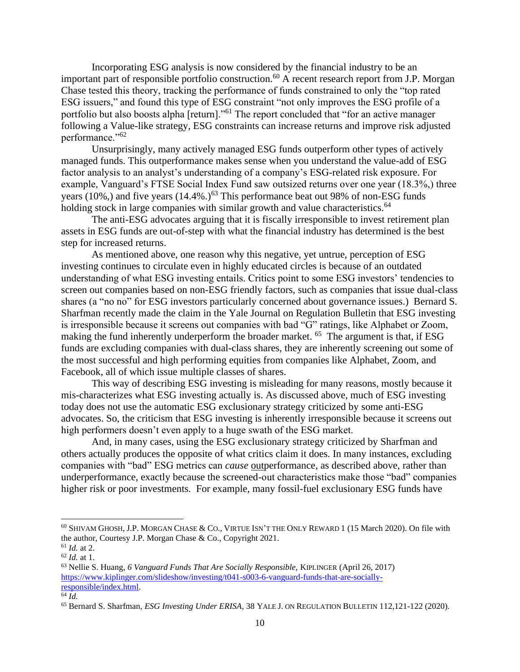Incorporating ESG analysis is now considered by the financial industry to be an important part of responsible portfolio construction.<sup>60</sup> A recent research report from J.P. Morgan Chase tested this theory, tracking the performance of funds constrained to only the "top rated ESG issuers," and found this type of ESG constraint "not only improves the ESG profile of a portfolio but also boosts alpha [return]."<sup>61</sup> The report concluded that "for an active manager following a Value-like strategy, ESG constraints can increase returns and improve risk adjusted performance."<sup>62</sup>

Unsurprisingly, many actively managed ESG funds outperform other types of actively managed funds. This outperformance makes sense when you understand the value-add of ESG factor analysis to an analyst's understanding of a company's ESG-related risk exposure. For example, Vanguard's FTSE Social Index Fund saw outsized returns over one year (18.3%,) three years (10%,) and five years  $(14.4\%)$ <sup>63</sup> This performance beat out 98% of non-ESG funds holding stock in large companies with similar growth and value characteristics.<sup>64</sup>

The anti-ESG advocates arguing that it is fiscally irresponsible to invest retirement plan assets in ESG funds are out-of-step with what the financial industry has determined is the best step for increased returns.

As mentioned above, one reason why this negative, yet untrue, perception of ESG investing continues to circulate even in highly educated circles is because of an outdated understanding of what ESG investing entails. Critics point to some ESG investors' tendencies to screen out companies based on non-ESG friendly factors, such as companies that issue dual-class shares (a "no no" for ESG investors particularly concerned about governance issues.) Bernard S. Sharfman recently made the claim in the Yale Journal on Regulation Bulletin that ESG investing is irresponsible because it screens out companies with bad "G" ratings, like Alphabet or Zoom, making the fund inherently underperform the broader market. <sup>65</sup> The argument is that, if ESG funds are excluding companies with dual-class shares, they are inherently screening out some of the most successful and high performing equities from companies like Alphabet, Zoom, and Facebook, all of which issue multiple classes of shares.

This way of describing ESG investing is misleading for many reasons, mostly because it mis-characterizes what ESG investing actually is. As discussed above, much of ESG investing today does not use the automatic ESG exclusionary strategy criticized by some anti-ESG advocates. So, the criticism that ESG investing is inherently irresponsible because it screens out high performers doesn't even apply to a huge swath of the ESG market.

And, in many cases, using the ESG exclusionary strategy criticized by Sharfman and others actually produces the opposite of what critics claim it does. In many instances, excluding companies with "bad" ESG metrics can *cause* outperformance, as described above, rather than underperformance, exactly because the screened-out characteristics make those "bad" companies higher risk or poor investments. For example, many fossil-fuel exclusionary ESG funds have

<sup>60</sup> SHIVAM GHOSH, J.P. MORGAN CHASE & CO., VIRTUE ISN'T THE ONLY REWARD 1 (15 March 2020). On file with the author, Courtesy J.P. Morgan Chase & Co., Copyright 2021.

 $61$  *Id.* at 2.

<sup>62</sup> *Id.* at 1.

<sup>63</sup> Nellie S. Huang, *6 Vanguard Funds That Are Socially Responsible,* KIPLINGER (April 26, 2017) [https://www.kiplinger.com/slideshow/investing/t041-s003-6-vanguard-funds-that-are-socially](https://www.kiplinger.com/slideshow/investing/t041-s003-6-vanguard-funds-that-are-socially-responsible/index.html)[responsible/index.html.](https://www.kiplinger.com/slideshow/investing/t041-s003-6-vanguard-funds-that-are-socially-responsible/index.html) 

<sup>64</sup> *Id.*

<sup>65</sup> Bernard S. Sharfman, *ESG Investing Under ERISA,* 38 YALE J. ON REGULATION BULLETIN 112,121-122 (2020).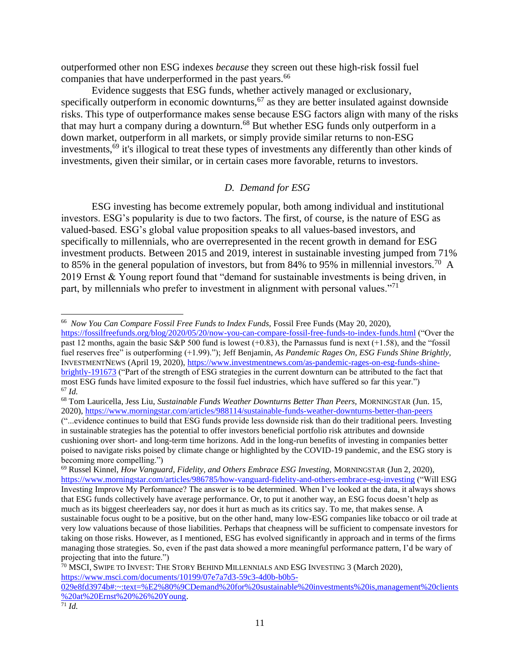outperformed other non ESG indexes *because* they screen out these high-risk fossil fuel companies that have underperformed in the past years.<sup>66</sup>

Evidence suggests that ESG funds, whether actively managed or exclusionary, specifically outperform in economic downturns,<sup>67</sup> as they are better insulated against downside risks. This type of outperformance makes sense because ESG factors align with many of the risks that may hurt a company during a downturn.<sup>68</sup> But whether ESG funds only outperform in a down market, outperform in all markets, or simply provide similar returns to non-ESG investments,<sup>69</sup> it's illogical to treat these types of investments any differently than other kinds of investments, given their similar, or in certain cases more favorable, returns to investors.

#### *D. Demand for ESG*

<span id="page-13-0"></span>ESG investing has become extremely popular, both among individual and institutional investors. ESG's popularity is due to two factors. The first, of course, is the nature of ESG as valued-based. ESG's global value proposition speaks to all values-based investors, and specifically to millennials, who are overrepresented in the recent growth in demand for ESG investment products. Between 2015 and 2019, interest in sustainable investing jumped from 71% to 85% in the general population of investors, but from 84% to 95% in millennial investors.<sup>70</sup> A 2019 Ernst & Young report found that "demand for sustainable investments is being driven, in part, by millennials who prefer to investment in alignment with personal values."<sup>71</sup>

<sup>&</sup>lt;sup>66</sup> Now You Can Compare Fossil Free Funds to Index Funds, Fossil Free Funds (May 20, 2020),

<https://fossilfreefunds.org/blog/2020/05/20/now-you-can-compare-fossil-free-funds-to-index-funds.html> ("Over the past 12 months, again the basic S&P 500 fund is lowest (+0.83), the Parnassus fund is next (+1.58), and the "fossil fuel reserves free" is outperforming (+1.99)."); Jeff Benjamin, *[As Pandemic Rages On, ESG Funds Shine Brightly,](file:///C:/Users/hoffman/Dropbox/Student%20Supervision/Independent%20Studies/Jeff%20Benjamin,%20As%20Pandemic%20Rages%20On,%20ESG%20Funds%20Shine%20Brightly,%20InvestmentNews%20(April%2019,%202020),%20https:/www.investmentnews.com/as-pandemic-rages-on-esg-funds-shine-brightly-191673)*  INVESTMENTNEWS [\(April 19, 2020\), https://www.investmentnews.com/as-pandemic-rages-on-esg-funds-shine](file:///C:/Users/hoffman/Dropbox/Student%20Supervision/Independent%20Studies/Jeff%20Benjamin,%20As%20Pandemic%20Rages%20On,%20ESG%20Funds%20Shine%20Brightly,%20InvestmentNews%20(April%2019,%202020),%20https:/www.investmentnews.com/as-pandemic-rages-on-esg-funds-shine-brightly-191673)[brightly-191673](file:///C:/Users/hoffman/Dropbox/Student%20Supervision/Independent%20Studies/Jeff%20Benjamin,%20As%20Pandemic%20Rages%20On,%20ESG%20Funds%20Shine%20Brightly,%20InvestmentNews%20(April%2019,%202020),%20https:/www.investmentnews.com/as-pandemic-rages-on-esg-funds-shine-brightly-191673) ("Part of the strength of ESG strategies in the current downturn can be attributed to the fact that most ESG funds have limited exposure to the fossil fuel industries, which have suffered so far this year.") <sup>67</sup> *Id.*

<sup>68</sup> Tom Lauricella, Jess Liu, *Sustainable Funds Weather Downturns Better Than Peers,* MORNINGSTAR (Jun. 15, 2020),<https://www.morningstar.com/articles/988114/sustainable-funds-weather-downturns-better-than-peers>

<sup>(&</sup>quot;...evidence continues to build that ESG funds provide less downside risk than do their traditional peers. Investing in sustainable strategies has the potential to offer investors beneficial portfolio risk attributes and downside cushioning over short- and long-term time horizons. Add in the long-run benefits of investing in companies better poised to navigate risks poised by climate change or highlighted by the COVID-19 pandemic, and the ESG story is becoming more compelling.")

<sup>69</sup> Russel Kinnel, *How Vanguard, Fidelity, and Others Embrace ESG Investing,* MORNINGSTAR (Jun 2, 2020), <https://www.morningstar.com/articles/986785/how-vanguard-fidelity-and-others-embrace-esg-investing> ("Will ESG Investing Improve My Performance? The answer is to be determined. When I've looked at the data, it always shows that ESG funds collectively have average performance. Or, to put it another way, an ESG focus doesn't help as much as its biggest cheerleaders say, nor does it hurt as much as its critics say. To me, that makes sense. A sustainable focus ought to be a positive, but on the other hand, many low-ESG companies like tobacco or oil trade at very low valuations because of those liabilities. Perhaps that cheapness will be sufficient to compensate investors for taking on those risks. However, as I mentioned, ESG has evolved significantly in approach and in terms of the firms managing those strategies. So, even if the past data showed a more meaningful performance pattern, I'd be wary of projecting that into the future.")

 $70$  MSCI, SWIPE TO INVEST: THE STORY BEHIND MILLENNIALS AND ESG INVESTING 3 (March 2020), [https://www.msci.com/documents/10199/07e7a7d3-59c3-4d0b-b0b5-](https://www.msci.com/documents/10199/07e7a7d3-59c3-4d0b-b0b5-029e8fd3974b#:~:text=%E2%80%9CDemand%20for%20sustainable%20investments%20is,management%20clients%20at%20Ernst%20%26%20Young)

[<sup>029</sup>e8fd3974b#:~:text=%E2%80%9CDemand%20for%20sustainable%20investments%20is,management%20clients](https://www.msci.com/documents/10199/07e7a7d3-59c3-4d0b-b0b5-029e8fd3974b#:~:text=%E2%80%9CDemand%20for%20sustainable%20investments%20is,management%20clients%20at%20Ernst%20%26%20Young) [%20at%20Ernst%20%26%20Young.](https://www.msci.com/documents/10199/07e7a7d3-59c3-4d0b-b0b5-029e8fd3974b#:~:text=%E2%80%9CDemand%20for%20sustainable%20investments%20is,management%20clients%20at%20Ernst%20%26%20Young)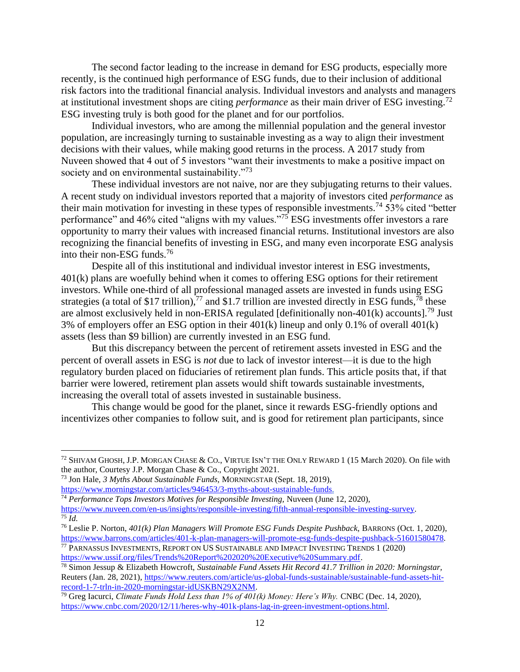The second factor leading to the increase in demand for ESG products, especially more recently, is the continued high performance of ESG funds, due to their inclusion of additional risk factors into the traditional financial analysis. Individual investors and analysts and managers at institutional investment shops are citing *performance* as their main driver of ESG investing.<sup>72</sup> ESG investing truly is both good for the planet and for our portfolios.

Individual investors, who are among the millennial population and the general investor population, are increasingly turning to sustainable investing as a way to align their investment decisions with their values, while making good returns in the process. A 2017 study from Nuveen showed that 4 out of 5 investors "want their investments to make a positive impact on society and on environmental sustainability."<sup>73</sup>

These individual investors are not naive, nor are they subjugating returns to their values. A recent study on individual investors reported that a majority of investors cited *performance* as their main motivation for investing in these types of responsible investments.<sup>74</sup> 53% cited "better" performance" and 46% cited "aligns with my values."<sup>75</sup> ESG investments offer investors a rare opportunity to marry their values with increased financial returns. Institutional investors are also recognizing the financial benefits of investing in ESG, and many even incorporate ESG analysis into their non-ESG funds.<sup>76</sup>

Despite all of this institutional and individual investor interest in ESG investments, 401(k) plans are woefully behind when it comes to offering ESG options for their retirement investors. While one-third of all professional managed assets are invested in funds using ESG strategies (a total of \$17 trillion),<sup>77</sup> and \$1.7 trillion are invested directly in ESG funds,<sup>78</sup> these are almost exclusively held in non-ERISA regulated [definitionally non- $401(k)$  accounts].<sup>79</sup> Just 3% of employers offer an ESG option in their 401(k) lineup and only 0.1% of overall 401(k) assets (less than \$9 billion) are currently invested in an ESG fund.

But this discrepancy between the percent of retirement assets invested in ESG and the percent of overall assets in ESG is *not* due to lack of investor interest—it is due to the high regulatory burden placed on fiduciaries of retirement plan funds. This article posits that, if that barrier were lowered, retirement plan assets would shift towards sustainable investments, increasing the overall total of assets invested in sustainable business.

This change would be good for the planet, since it rewards ESG-friendly options and incentivizes other companies to follow suit, and is good for retirement plan participants, since

<sup>72</sup> SHIVAM GHOSH, J.P. MORGAN CHASE & CO., VIRTUE ISN'T THE ONLY REWARD 1 (15 March 2020). On file with the author, Courtesy J.P. Morgan Chase & Co., Copyright 2021.

<sup>73</sup> Jon Hale, *3 Myths About Sustainable Funds,* MORNINGSTAR (Sept. 18, 2019), [https://www.morningstar.com/articles/946453/3-myths-about-sustainable-funds.](https://www.morningstar.com/articles/946453/3-myths-about-sustainable-funds)

<sup>74</sup> *Performance Tops Investors Motives for Responsible Investing,* Nuveen (June 12, 2020), [https://www.nuveen.com/en-us/insights/responsible-investing/fifth-annual-responsible-investing-survey.](https://www.nuveen.com/en-us/insights/responsible-investing/fifth-annual-responsible-investing-survey)  $75$   $\overline{Id}$ .

<sup>76</sup> Leslie P. Norton, *401(k) Plan Managers Will Promote ESG Funds Despite Pushback,* BARRONS (Oct. 1, 2020), [https://www.barrons.com/articles/401-k-plan-managers-will-promote-esg-funds-despite-pushback-51601580478.](https://www.barrons.com/articles/401-k-plan-managers-will-promote-esg-funds-despite-pushback-51601580478) <sup>77</sup> PARNASSUS INVESTMENTS, REPORT ON US SUSTAINABLE AND IMPACT INVESTING TRENDS 1 (2020)

[https://www.ussif.org/files/Trends%20Report%202020%20Executive%20Summary.pdf.](https://www.ussif.org/files/Trends%20Report%202020%20Executive%20Summary.pdf)

<sup>78</sup> Simon Jessup & Elizabeth Howcroft, *Sustainable Fund Assets Hit Record 41.7 Trillion in 2020: Morningstar,*  Reuters (Jan. 28, 2021), [https://www.reuters.com/article/us-global-funds-sustainable/sustainable-fund-assets-hit](https://www.reuters.com/article/us-global-funds-sustainable/sustainable-fund-assets-hit-record-1-7-trln-in-2020-morningstar-idUSKBN29X2NM)[record-1-7-trln-in-2020-morningstar-idUSKBN29X2NM.](https://www.reuters.com/article/us-global-funds-sustainable/sustainable-fund-assets-hit-record-1-7-trln-in-2020-morningstar-idUSKBN29X2NM)

<sup>79</sup> Greg Iacurci, *Climate Funds Hold Less than 1% of 401(k) Money: Here's Why.* CNBC (Dec. 14, 2020), [https://www.cnbc.com/2020/12/11/heres-why-401k-plans-lag-in-green-investment-options.html.](https://www.cnbc.com/2020/12/11/heres-why-401k-plans-lag-in-green-investment-options.html)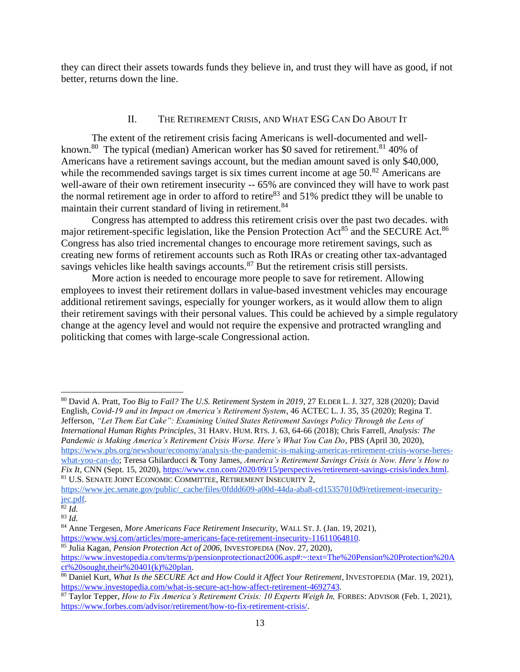<span id="page-15-0"></span>they can direct their assets towards funds they believe in, and trust they will have as good, if not better, returns down the line.

## II. THE RETIREMENT CRISIS, AND WHAT ESG CAN DO ABOUT IT

The extent of the retirement crisis facing Americans is well-documented and wellknown.<sup>80</sup> The typical (median) American worker has \$0 saved for retirement.<sup>81</sup> 40% of Americans have a retirement savings account, but the median amount saved is only \$40,000, while the recommended savings target is six times current income at age 50.<sup>82</sup> Americans are well-aware of their own retirement insecurity -- 65% are convinced they will have to work past the normal retirement age in order to afford to retire<sup>83</sup> and 51% predict tthey will be unable to maintain their current standard of living in retirement.<sup>84</sup>

Congress has attempted to address this retirement crisis over the past two decades. with major retirement-specific legislation, like the Pension Protection Act<sup>85</sup> and the SECURE Act.<sup>86</sup> Congress has also tried incremental changes to encourage more retirement savings, such as creating new forms of retirement accounts such as Roth IRAs or creating other tax-advantaged savings vehicles like health savings accounts.<sup>87</sup> But the retirement crisis still persists.

More action is needed to encourage more people to save for retirement. Allowing employees to invest their retirement dollars in value-based investment vehicles may encourage additional retirement savings, especially for younger workers, as it would allow them to align their retirement savings with their personal values. This could be achieved by a simple regulatory change at the agency level and would not require the expensive and protracted wrangling and politicking that comes with large-scale Congressional action.

<sup>80</sup> David A. Pratt, *Too Big to Fail? The U.S. Retirement System in 2019*, 27 ELDER L. J. 327, 328 (2020); David English, *Covid-19 and its Impact on America's Retirement System*, 46 ACTEC L. J. 35, 35 (2020); Regina T. Jefferson, *"Let Them Eat Cake": Examining United States Retirement Savings Policy Through the Lens of International Human Rights Principles*, 31 HARV. HUM. RTS. J. 63, 64-66 (2018); Chris Farrell, *Analysis: The Pandemic is Making America's Retirement Crisis Worse. Here's What You Can Do*, PBS (April 30, 2020), [https://www.pbs.org/newshour/economy/analysis-the-pandemic-is-making-americas-retirement-crisis-worse-heres](https://www.pbs.org/newshour/economy/analysis-the-pandemic-is-making-americas-retirement-crisis-worse-heres-what-you-can-do)[what-you-can-do;](https://www.pbs.org/newshour/economy/analysis-the-pandemic-is-making-americas-retirement-crisis-worse-heres-what-you-can-do) Teresa Ghilarducci & Tony James, *America's Retirement Savings Crisis is Now. Here's How to Fix It*, CNN (Sept. 15, 2020), [https://www.cnn.com/2020/09/15/perspectives/retirement-savings-crisis/index.html.](https://www.cnn.com/2020/09/15/perspectives/retirement-savings-crisis/index.html) <sup>81</sup> U.S. SENATE JOINT ECONOMIC COMMITTEE, RETIREMENT INSECURITY 2,

[https://www.jec.senate.gov/public/\\_cache/files/0fddd609-a00d-44da-aba8-cd15357010d9/retirement-insecurity](https://www.jec.senate.gov/public/_cache/files/0fddd609-a00d-44da-aba8-cd15357010d9/retirement-insecurity-jec.pdf)[jec.pdf.](https://www.jec.senate.gov/public/_cache/files/0fddd609-a00d-44da-aba8-cd15357010d9/retirement-insecurity-jec.pdf)

<sup>82</sup> *Id.*

<sup>83</sup> *Id.*

<sup>84</sup> Anne Tergesen, *More Americans Face Retirement Insecurity,* WALL ST. J. (Jan. 19, 2021), [https://www.wsj.com/articles/more-americans-face-retirement-insecurity-11611064810.](https://www.wsj.com/articles/more-americans-face-retirement-insecurity-11611064810)

<sup>85</sup> Julia Kagan, *Pension Protection Act of 2006,* INVESTOPEDIA (Nov. 27, 2020),

[https://www.investopedia.com/terms/p/pensionprotectionact2006.asp#:~:text=The%20Pension%20Protection%20A](https://www.investopedia.com/terms/p/pensionprotectionact2006.asp#:~:text=The%20Pension%20Protection%20Act%20sought,their%20401(k)%20plan)  $ct\%$  20sought, their % 20401(k) % 20plan.

<sup>86</sup> Daniel Kurt, *What Is the SECURE Act and How Could it Affect Your Retirement,* INVESTOPEDIA (Mar. 19, 2021), [https://www.investopedia.com/what-is-secure-act-how-affect-retirement-4692743.](https://www.investopedia.com/what-is-secure-act-how-affect-retirement-4692743)

<sup>&</sup>lt;sup>87</sup> Taylor Tepper, *How to Fix America's Retirement Crisis: 10 Experts Weigh In, FORBES: ADVISOR (Feb. 1, 2021)*, [https://www.forbes.com/advisor/retirement/how-to-fix-retirement-crisis/.](https://www.forbes.com/advisor/retirement/how-to-fix-retirement-crisis/)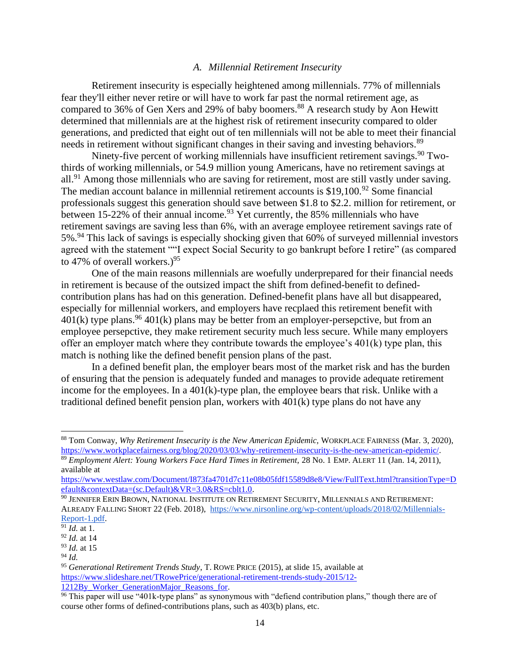#### *A. Millennial Retirement Insecurity*

<span id="page-16-0"></span>Retirement insecurity is especially heightened among millennials. 77% of millennials fear they'll either never retire or will have to work far past the normal retirement age, as compared to 36% of Gen Xers and 29% of baby boomers.<sup>88</sup> A research study by Aon Hewitt determined that millennials are at the highest risk of retirement insecurity compared to older generations, and predicted that eight out of ten millennials will not be able to meet their financial needs in retirement without significant changes in their saving and investing behaviors.<sup>89</sup>

Ninety-five percent of working millennials have insufficient retirement savings.<sup>90</sup> Twothirds of working millennials, or 54.9 million young Americans, have no retirement savings at all.<sup>91</sup> Among those millennials who are saving for retirement, most are still vastly under saving. The median account balance in millennial retirement accounts is  $$19,100.<sup>92</sup>$  Some financial professionals suggest this generation should save between \$1.8 to \$2.2. million for retirement, or between  $15{\text -}22\%$  of their annual income.<sup>93</sup> Yet currently, the 85% millennials who have retirement savings are saving less than 6%, with an average employee retirement savings rate of 5%.<sup>94</sup> This lack of savings is especially shocking given that 60% of surveyed millennial investors agreed with the statement ""I expect Social Security to go bankrupt before I retire" (as compared to 47% of overall workers.)<sup>95</sup>

One of the main reasons millennials are woefully underprepared for their financial needs in retirement is because of the outsized impact the shift from defined-benefit to definedcontribution plans has had on this generation. Defined-benefit plans have all but disappeared, especially for millennial workers, and employers have recplaed this retirement benefit with  $401(k)$  type plans.<sup>96</sup>  $401(k)$  plans may be better from an employer-persepctive, but from an employee persepctive, they make retirement security much less secure. While many employers offer an employer match where they contribute towards the employee's 401(k) type plan, this match is nothing like the defined benefit pension plans of the past.

In a defined benefit plan, the employer bears most of the market risk and has the burden of ensuring that the pension is adequately funded and manages to provide adequate retirement income for the employees. In a 401(k)-type plan, the employee bears that risk. Unlike with a traditional defined benefit pension plan, workers with 401(k) type plans do not have any

<sup>88</sup> Tom Conway, *Why Retirement Insecurity is the New American Epidemic,* WORKPLACE FAIRNESS (Mar. 3, 2020), [https://www.workplacefairness.org/blog/2020/03/03/why-retirement-insecurity-is-the-new-american-epidemic/.](https://www.workplacefairness.org/blog/2020/03/03/why-retirement-insecurity-is-the-new-american-epidemic/)

<sup>89</sup> *Employment Alert: Young Workers Face Hard Times in Retirement,* 28 No. 1 EMP. ALERT 11 (Jan. 14, 2011), available at

[https://www.westlaw.com/Document/I873fa4701d7c11e08b05fdf15589d8e8/View/FullText.html?transitionType=D](https://www.westlaw.com/Document/I873fa4701d7c11e08b05fdf15589d8e8/View/FullText.html?transitionType=Default&contextData=(sc.Default)&VR=3.0&RS=cblt1.0) [efault&contextData=\(sc.Default\)&VR=3.0&RS=cblt1.0.](https://www.westlaw.com/Document/I873fa4701d7c11e08b05fdf15589d8e8/View/FullText.html?transitionType=Default&contextData=(sc.Default)&VR=3.0&RS=cblt1.0)

<sup>90</sup> JENNIFER ERIN BROWN, NATIONAL INSTITUTE ON RETIREMENT SECURITY, MILLENNIALS AND RETIREMENT: ALREADY FALLING SHORT 22 (Feb. 2018), [https://www.nirsonline.org/wp-content/uploads/2018/02/Millennials-](https://www.nirsonline.org/wp-content/uploads/2018/02/Millennials-Report-1.pdf)[Report-1.pdf.](https://www.nirsonline.org/wp-content/uploads/2018/02/Millennials-Report-1.pdf)

 $\overline{91}$  *Id.* at 1.

<sup>92</sup> *Id.* at 14

<sup>93</sup> *Id.* at 15

<sup>94</sup> *Id.*

<sup>95</sup> *Generational Retirement Trends Study*, T. ROWE PRICE (2015), at slide 15, available at [https://www.slideshare.net/TRowePrice/generational-retirement-trends-study-2015/12-](https://www.slideshare.net/TRowePrice/generational-retirement-trends-study-2015/12-1212By_Worker_GenerationMajor_Reasons_for) [1212By\\_Worker\\_GenerationMajor\\_Reasons\\_for.](https://www.slideshare.net/TRowePrice/generational-retirement-trends-study-2015/12-1212By_Worker_GenerationMajor_Reasons_for)

 $96$  This paper will use "401k-type plans" as synonymous with "defiend contribution plans," though there are of course other forms of defined-contributions plans, such as 403(b) plans, etc.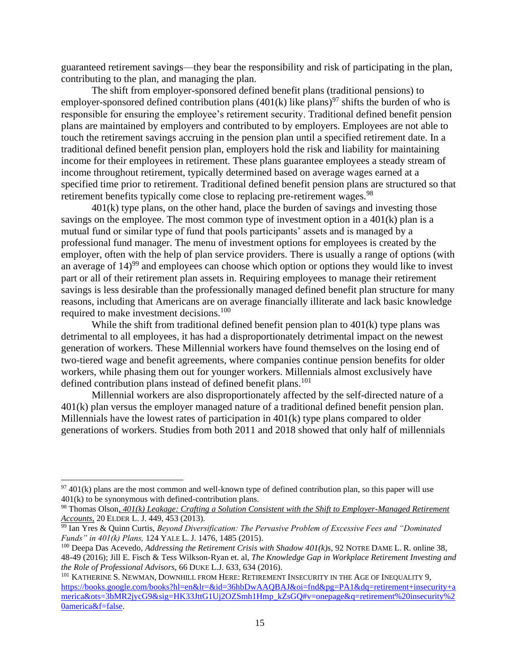guaranteed retirement savings—they bear the responsibility and risk of participating in the plan, contributing to the plan, and managing the plan.

The shift from employer-sponsored defined benefit plans (traditional pensions) to employer-sponsored defined contribution plans  $(401(k)$  like plans)<sup>97</sup> shifts the burden of who is responsible for ensuring the employee's retirement security. Traditional defined benefit pension plans are maintained by employers and contributed to by employers. Employees are not able to touch the retirement savings accruing in the pension plan until a specified retirement date. In a traditional defined benefit pension plan, employers hold the risk and liability for maintaining income for their employees in retirement. These plans guarantee employees a steady stream of income throughout retirement, typically determined based on average wages earned at a specified time prior to retirement. Traditional defined benefit pension plans are structured so that retirement benefits typically come close to replacing pre-retirement wages.<sup>98</sup>

401(k) type plans, on the other hand, place the burden of savings and investing those savings on the employee. The most common type of investment option in a 401(k) plan is a mutual fund or similar type of fund that pools participants' assets and is managed by a professional fund manager. The menu of investment options for employees is created by the employer, often with the help of plan service providers. There is usually a range of options (with an average of  $14<sup>99</sup>$  and employees can choose which option or options they would like to invest part or all of their retirement plan assets in. Requiring employees to manage their retirement savings is less desirable than the professionally managed defined benefit plan structure for many reasons, including that Americans are on average financially illiterate and lack basic knowledge required to make investment decisions.<sup>100</sup>

While the shift from traditional defined benefit pension plan to  $401(k)$  type plans was detrimental to all employees, it has had a disproportionately detrimental impact on the newest generation of workers. These Millennial workers have found themselves on the losing end of two-tiered wage and benefit agreements, where companies continue pension benefits for older workers, while phasing them out for younger workers. Millennials almost exclusively have defined contribution plans instead of defined benefit plans.<sup>101</sup>

Millennial workers are also disproportionately affected by the self-directed nature of a 401(k) plan versus the employer managed nature of a traditional defined benefit pension plan. Millennials have the lowest rates of participation in 401(k) type plans compared to older generations of workers. Studies from both 2011 and 2018 showed that only half of millennials

 $97\,401(k)$  plans are the most common and well-known type of defined contribution plan, so this paper will use 401(k) to be synonymous with defined-contribution plans.

<sup>98</sup> Thomas Olson*, 401(k) Leakage: Crafting a Solution Consistent with the Shift to Employer-Managed Retirement Accounts,* 20 ELDER L. J. 449, 453 (2013).

<sup>99</sup> Ian Yres & Quinn Curtis, *Beyond Diversification: The Pervasive Problem of Excessive Fees and "Dominated Funds" in 401(k) Plans,* 124 YALE L. J. 1476, 1485 (2015).

<sup>&</sup>lt;sup>100</sup> Deepa Das Acevedo, *Addressing the Retirement Crisis with Shadow 401(k)s*, 92 NOTRE DAME L. R. online 38, 48-49 (2016); Jill E. Fisch & Tess Wilkson-Ryan et. al, *The Knowledge Gap in Workplace Retirement Investing and the Role of Professional Advisors,* 66 DUKE L.J. 633, 634 (2016).

<sup>&</sup>lt;sup>101</sup> KATHERINE S. NEWMAN, DOWNHILL FROM HERE: RETIREMENT INSECURITY IN THE AGE OF INEQUALITY 9, [https://books.google.com/books?hl=en&lr=&id=36hbDwAAQBAJ&oi=fnd&pg=PA1&dq=retirement+insecurity+a](https://books.google.com/books?hl=en&lr=&id=36hbDwAAQBAJ&oi=fnd&pg=PA1&dq=retirement+insecurity+america&ots=3bMR2jycG9&sig=HK33JttG1Uj2OZSmh1Hmp_kZsGQ#v=onepage&q=retirement%20insecurity%20america&f=false) [merica&ots=3bMR2jycG9&sig=HK33JttG1Uj2OZSmh1Hmp\\_kZsGQ#v=onepage&q=retirement%20insecurity%2](https://books.google.com/books?hl=en&lr=&id=36hbDwAAQBAJ&oi=fnd&pg=PA1&dq=retirement+insecurity+america&ots=3bMR2jycG9&sig=HK33JttG1Uj2OZSmh1Hmp_kZsGQ#v=onepage&q=retirement%20insecurity%20america&f=false) [0america&f=false.](https://books.google.com/books?hl=en&lr=&id=36hbDwAAQBAJ&oi=fnd&pg=PA1&dq=retirement+insecurity+america&ots=3bMR2jycG9&sig=HK33JttG1Uj2OZSmh1Hmp_kZsGQ#v=onepage&q=retirement%20insecurity%20america&f=false)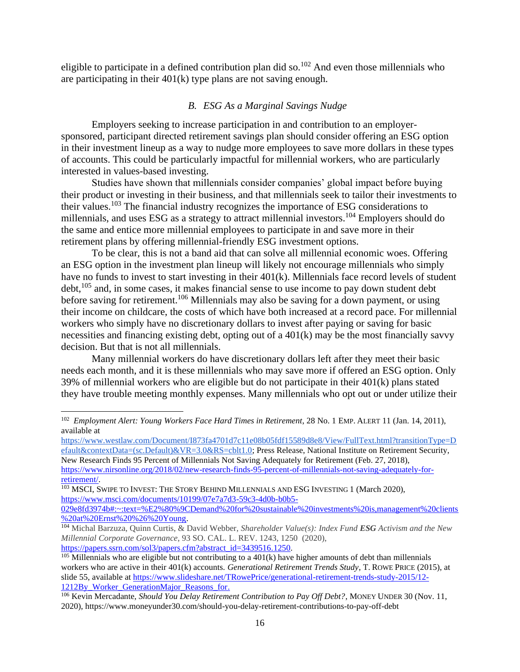<span id="page-18-0"></span>eligible to participate in a defined contribution plan did so.<sup>102</sup> And even those millennials who are participating in their 401(k) type plans are not saving enough.

#### *B. ESG As a Marginal Savings Nudge*

Employers seeking to increase participation in and contribution to an employersponsored, participant directed retirement savings plan should consider offering an ESG option in their investment lineup as a way to nudge more employees to save more dollars in these types of accounts. This could be particularly impactful for millennial workers, who are particularly interested in values-based investing.

Studies have shown that millennials consider companies' global impact before buying their product or investing in their business, and that millennials seek to tailor their investments to their values.<sup>103</sup> The financial industry recognizes the importance of ESG considerations to millennials, and uses ESG as a strategy to attract millennial investors.<sup>104</sup> Employers should do the same and entice more millennial employees to participate in and save more in their retirement plans by offering millennial-friendly ESG investment options.

To be clear, this is not a band aid that can solve all millennial economic woes. Offering an ESG option in the investment plan lineup will likely not encourage millennials who simply have no funds to invest to start investing in their 401(k). Millennials face record levels of student  $\text{debt}$ ,  $^{105}$  and, in some cases, it makes financial sense to use income to pay down student debt before saving for retirement.<sup>106</sup> Millennials may also be saving for a down payment, or using their income on childcare, the costs of which have both increased at a record pace. For millennial workers who simply have no discretionary dollars to invest after paying or saving for basic necessities and financing existing debt, opting out of a 401(k) may be the most financially savvy decision. But that is not all millennials.

Many millennial workers do have discretionary dollars left after they meet their basic needs each month, and it is these millennials who may save more if offered an ESG option. Only 39% of millennial workers who are eligible but do not participate in their 401(k) plans stated they have trouble meeting monthly expenses. Many millennials who opt out or under utilize their

[https://www.westlaw.com/Document/I873fa4701d7c11e08b05fdf15589d8e8/View/FullText.html?transitionType=D](https://www.westlaw.com/Document/I873fa4701d7c11e08b05fdf15589d8e8/View/FullText.html?transitionType=Default&contextData=(sc.Default)&VR=3.0&RS=cblt1.0) [efault&contextData=\(sc.Default\)&VR=3.0&RS=cblt1.0;](https://www.westlaw.com/Document/I873fa4701d7c11e08b05fdf15589d8e8/View/FullText.html?transitionType=Default&contextData=(sc.Default)&VR=3.0&RS=cblt1.0) Press Release, National Institute on Retirement Security, New Research Finds 95 Percent of Millennials Not Saving Adequately for Retirement (Feb. 27, 2018),

<sup>102</sup> *Employment Alert: Young Workers Face Hard Times in Retirement*, 28 No. 1 EMP. ALERT 11 (Jan. 14, 2011), available at

[https://www.nirsonline.org/2018/02/new-research-finds-95-percent-of-millennials-not-saving-adequately-for](https://www.nirsonline.org/2018/02/new-research-finds-95-percent-of-millennials-not-saving-adequately-for-retirement/)[retirement/.](https://www.nirsonline.org/2018/02/new-research-finds-95-percent-of-millennials-not-saving-adequately-for-retirement/)

<sup>103</sup> MSCI, SWIPE TO INVEST: THE STORY BEHIND MILLENNIALS AND ESG INVESTING 1 (March 2020), [https://www.msci.com/documents/10199/07e7a7d3-59c3-4d0b-b0b5-](https://www.msci.com/documents/10199/07e7a7d3-59c3-4d0b-b0b5-029e8fd3974b#:~:text=%E2%80%9CDemand%20for%20sustainable%20investments%20is,management%20clients%20at%20Ernst%20%26%20Young)

[<sup>029</sup>e8fd3974b#:~:text=%E2%80%9CDemand%20for%20sustainable%20investments%20is,management%20clients](https://www.msci.com/documents/10199/07e7a7d3-59c3-4d0b-b0b5-029e8fd3974b#:~:text=%E2%80%9CDemand%20for%20sustainable%20investments%20is,management%20clients%20at%20Ernst%20%26%20Young) [%20at%20Ernst%20%26%20Young.](https://www.msci.com/documents/10199/07e7a7d3-59c3-4d0b-b0b5-029e8fd3974b#:~:text=%E2%80%9CDemand%20for%20sustainable%20investments%20is,management%20clients%20at%20Ernst%20%26%20Young)

<sup>104</sup> Michal Barzuza, Quinn Curtis, & David Webber, *Shareholder Value(s): Index Fund ESG Activism and the New Millennial Corporate Governance*, 93 SO. CAL. L. REV. 1243, 1250 (2020), [https://papers.ssrn.com/sol3/papers.cfm?abstract\\_id=3439516.1250.](https://papers.ssrn.com/sol3/papers.cfm?abstract_id=3439516.1250)

 $105$  Millennials who are eligible but not contributing to a 401(k) have higher amounts of debt than millennials workers who are active in their 401(k) accounts. *Generational Retirement Trends Study*, T. ROWE PRICE (2015), at slide 55, available a[t https://www.slideshare.net/TRowePrice/generational-retirement-trends-study-2015/12-](https://www.slideshare.net/TRowePrice/generational-retirement-trends-study-2015/12-1212By_Worker_GenerationMajor_Reasons_for) 1212By Worker GenerationMajor Reasons for.

<sup>&</sup>lt;sup>106</sup> Kevin Mercadante, *Should You Delay Retirement Contribution to Pay Off Debt?*, MONEY UNDER 30 (Nov. 11, 2020), https://www.moneyunder30.com/should-you-delay-retirement-contributions-to-pay-off-debt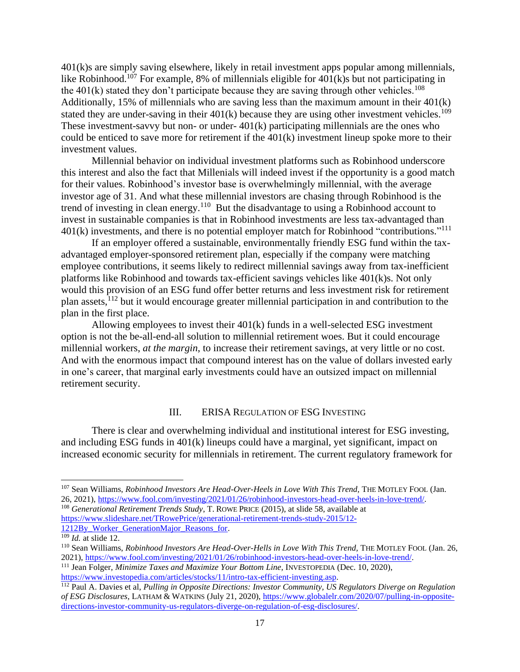401(k)s are simply saving elsewhere, likely in retail investment apps popular among millennials, like Robinhood.<sup>107</sup> For example, 8% of millennials eligible for  $401(k)$ s but not participating in the  $401(k)$  stated they don't participate because they are saving through other vehicles.<sup>108</sup> Additionally, 15% of millennials who are saving less than the maximum amount in their 401(k) stated they are under-saving in their  $401(k)$  because they are using other investment vehicles.<sup>109</sup> These investment-savvy but non- or under- 401(k) participating millennials are the ones who could be enticed to save more for retirement if the 401(k) investment lineup spoke more to their investment values.

Millennial behavior on individual investment platforms such as Robinhood underscore this interest and also the fact that Millenials will indeed invest if the opportunity is a good match for their values. Robinhood's investor base is overwhelmingly millennial, with the average investor age of 31. And what these millennial investors are chasing through Robinhood is the trend of investing in clean energy.<sup>110</sup> But the disadvantage to using a Robinhood account to invest in sustainable companies is that in Robinhood investments are less tax-advantaged than  $401(k)$  investments, and there is no potential employer match for Robinhood "contributions."<sup>111</sup>

If an employer offered a sustainable, environmentally friendly ESG fund within the taxadvantaged employer-sponsored retirement plan, especially if the company were matching employee contributions, it seems likely to redirect millennial savings away from tax-inefficient platforms like Robinhood and towards tax-efficient savings vehicles like 401(k)s. Not only would this provision of an ESG fund offer better returns and less investment risk for retirement plan assets, $^{112}$  but it would encourage greater millennial participation in and contribution to the plan in the first place.

Allowing employees to invest their 401(k) funds in a well-selected ESG investment option is not the be-all-end-all solution to millennial retirement woes. But it could encourage millennial workers, *at the margin*, to increase their retirement savings, at very little or no cost. And with the enormous impact that compound interest has on the value of dollars invested early in one's career, that marginal early investments could have an outsized impact on millennial retirement security.

#### <span id="page-19-0"></span>III. ERISA REGULATION OF ESG INVESTING

There is clear and overwhelming individual and institutional interest for ESG investing, and including ESG funds in 401(k) lineups could have a marginal, yet significant, impact on increased economic security for millennials in retirement. The current regulatory framework for

<sup>&</sup>lt;sup>107</sup> Sean Williams, *Robinhood Investors Are Head-Over-Heels in Love With This Trend*, THE MOTLEY FOOL (Jan. 26, 2021), [https://www.fool.com/investing/2021/01/26/robinhood-investors-head-over-heels-in-love-trend/.](https://www.fool.com/investing/2021/01/26/robinhood-investors-head-over-heels-in-love-trend/)

<sup>108</sup> *Generational Retirement Trends Study*, T. ROWE PRICE (2015), at slide 58, available at [https://www.slideshare.net/TRowePrice/generational-retirement-trends-study-2015/12-](https://www.slideshare.net/TRowePrice/generational-retirement-trends-study-2015/12-1212By_Worker_GenerationMajor_Reasons_for) [1212By\\_Worker\\_GenerationMajor\\_Reasons\\_for.](https://www.slideshare.net/TRowePrice/generational-retirement-trends-study-2015/12-1212By_Worker_GenerationMajor_Reasons_for)

<sup>109</sup> *Id.* at slide 12.

<sup>&</sup>lt;sup>110</sup> Sean Williams, *Robinhood Investors Are Head-Over-Hells in Love With This Trend*, THE MOTLEY FOOL (Jan. 26, 2021), [https://www.fool.com/investing/2021/01/26/robinhood-investors-head-over-heels-in-love-trend/.](https://www.fool.com/investing/2021/01/26/robinhood-investors-head-over-heels-in-love-trend/)

<sup>111</sup> Jean Folger, *Minimize Taxes and Maximize Your Bottom Line,* INVESTOPEDIA (Dec. 10, 2020), [https://www.investopedia.com/articles/stocks/11/intro-tax-efficient-investing.asp.](https://www.investopedia.com/articles/stocks/11/intro-tax-efficient-investing.asp)

<sup>112</sup> Paul A. Davies et al, *Pulling in Opposite Directions: Investor Community, US Regulators Diverge on Regulation of ESG Disclosures,* LATHAM & WATKINS (July 21, 2020)[, https://www.globalelr.com/2020/07/pulling-in-opposite](https://www.globalelr.com/2020/07/pulling-in-opposite-directions-investor-community-us-regulators-diverge-on-regulation-of-esg-disclosures/)[directions-investor-community-us-regulators-diverge-on-regulation-of-esg-disclosures/.](https://www.globalelr.com/2020/07/pulling-in-opposite-directions-investor-community-us-regulators-diverge-on-regulation-of-esg-disclosures/)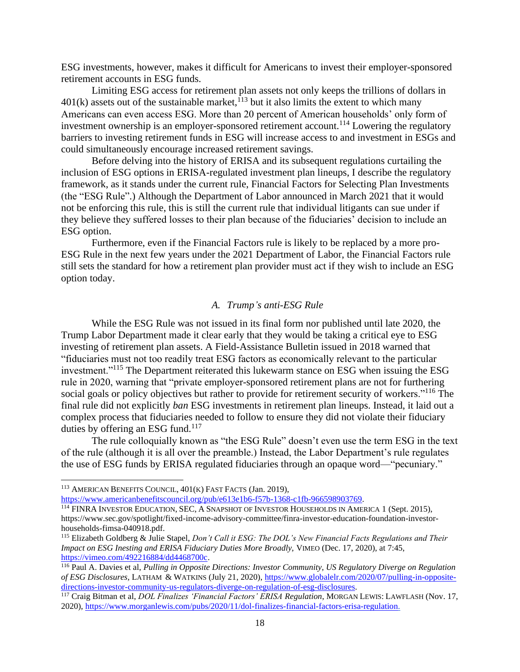ESG investments, however, makes it difficult for Americans to invest their employer-sponsored retirement accounts in ESG funds.

Limiting ESG access for retirement plan assets not only keeps the trillions of dollars in  $401(k)$  assets out of the sustainable market,<sup>113</sup> but it also limits the extent to which many Americans can even access ESG. More than 20 percent of American households' only form of investment ownership is an employer-sponsored retirement account.<sup>114</sup> Lowering the regulatory barriers to investing retirement funds in ESG will increase access to and investment in ESGs and could simultaneously encourage increased retirement savings.

Before delving into the history of ERISA and its subsequent regulations curtailing the inclusion of ESG options in ERISA-regulated investment plan lineups, I describe the regulatory framework, as it stands under the current rule, Financial Factors for Selecting Plan Investments (the "ESG Rule".) Although the Department of Labor announced in March 2021 that it would not be enforcing this rule, this is still the current rule that individual litigants can sue under if they believe they suffered losses to their plan because of the fiduciaries' decision to include an ESG option.

Furthermore, even if the Financial Factors rule is likely to be replaced by a more pro-ESG Rule in the next few years under the 2021 Department of Labor, the Financial Factors rule still sets the standard for how a retirement plan provider must act if they wish to include an ESG option today.

#### *A. Trump's anti-ESG Rule*

<span id="page-20-0"></span>While the ESG Rule was not issued in its final form nor published until late 2020, the Trump Labor Department made it clear early that they would be taking a critical eye to ESG investing of retirement plan assets. A Field-Assistance Bulletin issued in 2018 warned that "fiduciaries must not too readily treat ESG factors as economically relevant to the particular investment."<sup>115</sup> The Department reiterated this lukewarm stance on ESG when issuing the ESG rule in 2020, warning that "private employer-sponsored retirement plans are not for furthering social goals or policy objectives but rather to provide for retirement security of workers."<sup>116</sup> The final rule did not explicitly *ban* ESG investments in retirement plan lineups. Instead, it laid out a complex process that fiduciaries needed to follow to ensure they did not violate their fiduciary duties by offering an ESG fund.<sup>117</sup>

The rule colloquially known as "the ESG Rule" doesn't even use the term ESG in the text of the rule (although it is all over the preamble.) Instead, the Labor Department's rule regulates the use of ESG funds by ERISA regulated fiduciaries through an opaque word—"pecuniary."

[https://www.americanbenefitscouncil.org/pub/e613e1b6-f57b-1368-c1fb-966598903769.](https://www.americanbenefitscouncil.org/pub/e613e1b6-f57b-1368-c1fb-966598903769) 

<sup>113</sup> AMERICAN BENEFITS COUNCIL, 401(K) FAST FACTS (Jan. 2019),

<sup>114</sup> FINRA INVESTOR EDUCATION, SEC, A SNAPSHOT OF INVESTOR HOUSEHOLDS IN AMERICA 1 (Sept. 2015), https://www.sec.gov/spotlight/fixed-income-advisory-committee/finra-investor-education-foundation-investorhouseholds-fimsa-040918.pdf.

<sup>115</sup> Elizabeth Goldberg & Julie Stapel, *Don't Call it ESG: The DOL's New Financial Facts Regulations and Their Impact on ESG Inesting and ERISA Fiduciary Duties More Broadly,* VIMEO (Dec. 17, 2020), at 7:45, [https://vimeo.com/492216884/dd4468700c.](https://vimeo.com/492216884/dd4468700c)

<sup>116</sup> Paul A. Davies et al, *Pulling in Opposite Directions: Investor Community, US Regulatory Diverge on Regulation of ESG Disclosures,* LATHAM & WATKINS (July 21, 2020)[, https://www.globalelr.com/2020/07/pulling-in-opposite](https://www.globalelr.com/2020/07/pulling-in-opposite-directions-investor-community-us-regulators-diverge-on-regulation-of-esg-disclosures)[directions-investor-community-us-regulators-diverge-on-regulation-of-esg-disclosures.](https://www.globalelr.com/2020/07/pulling-in-opposite-directions-investor-community-us-regulators-diverge-on-regulation-of-esg-disclosures)

<sup>117</sup> Craig Bitman et al, *DOL Finalizes 'Financial Factors' ERISA Regulation*, MORGAN LEWIS: LAWFLASH (Nov. 17, 2020), [https://www.morganlewis.com/pubs/2020/11/dol-finalizes-financial-factors-erisa-regulation.](https://www.morganlewis.com/pubs/2020/11/dol-finalizes-financial-factors-erisa-regulation)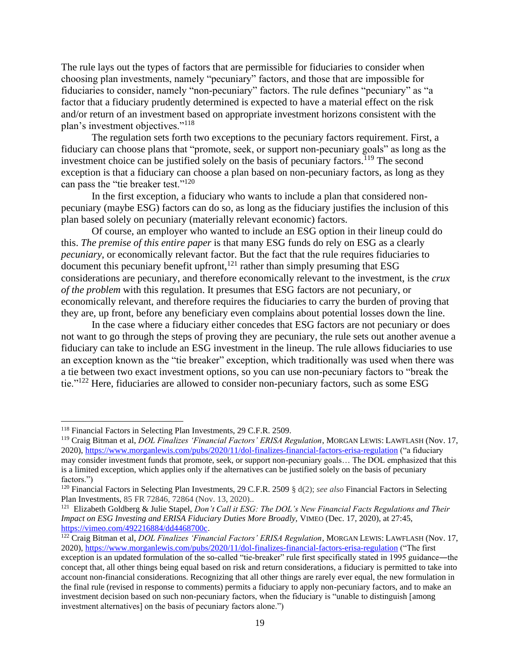The rule lays out the types of factors that are permissible for fiduciaries to consider when choosing plan investments, namely "pecuniary" factors, and those that are impossible for fiduciaries to consider, namely "non-pecuniary" factors. The rule defines "pecuniary" as "a factor that a fiduciary prudently determined is expected to have a material effect on the risk and/or return of an investment based on appropriate investment horizons consistent with the plan's investment objectives."<sup>118</sup>

The regulation sets forth two exceptions to the pecuniary factors requirement. First, a fiduciary can choose plans that "promote, seek, or support non-pecuniary goals" as long as the investment choice can be justified solely on the basis of pecuniary factors.<sup>119</sup> The second exception is that a fiduciary can choose a plan based on non-pecuniary factors, as long as they can pass the "tie breaker test."<sup>120</sup>

In the first exception, a fiduciary who wants to include a plan that considered nonpecuniary (maybe ESG) factors can do so, as long as the fiduciary justifies the inclusion of this plan based solely on pecuniary (materially relevant economic) factors.

Of course, an employer who wanted to include an ESG option in their lineup could do this. *The premise of this entire paper* is that many ESG funds do rely on ESG as a clearly *pecuniary*, or economically relevant factor. But the fact that the rule requires fiduciaries to document this pecuniary benefit upfront, $121$  rather than simply presuming that ESG considerations are pecuniary, and therefore economically relevant to the investment, is the *crux of the problem* with this regulation. It presumes that ESG factors are not pecuniary, or economically relevant, and therefore requires the fiduciaries to carry the burden of proving that they are, up front, before any beneficiary even complains about potential losses down the line.

In the case where a fiduciary either concedes that ESG factors are not pecuniary or does not want to go through the steps of proving they are pecuniary, the rule sets out another avenue a fiduciary can take to include an ESG investment in the lineup. The rule allows fiduciaries to use an exception known as the "tie breaker" exception, which traditionally was used when there was a tie between two exact investment options, so you can use non-pecuniary factors to "break the tie."<sup>122</sup> Here, fiduciaries are allowed to consider non-pecuniary factors, such as some ESG

<sup>118</sup> Financial Factors in Selecting Plan Investments, 29 C.F.R. 2509.

<sup>119</sup> Craig Bitman et al, *DOL Finalizes 'Financial Factors' ERISA Regulation*, MORGAN LEWIS: LAWFLASH (Nov. 17, 2020),<https://www.morganlewis.com/pubs/2020/11/dol-finalizes-financial-factors-erisa-regulation> ("a fiduciary may consider investment funds that promote, seek, or support non-pecuniary goals… The DOL emphasized that this is a limited exception, which applies only if the alternatives can be justified solely on the basis of pecuniary factors.")

<sup>120</sup> Financial Factors in Selecting Plan Investments, 29 C.F.R. 2509 § d(2); *see also* Financial Factors in Selecting Plan Investments, 85 FR 72846, 72864 (Nov. 13, 2020)..

<sup>&</sup>lt;sup>121</sup> Elizabeth Goldberg & Julie Stapel, *Don't Call it ESG: The DOL's New Financial Facts Regulations and Their Impact on ESG Investing and ERISA Fiduciary Duties More Broadly,* VIMEO (Dec. 17, 2020), at 27:45, [https://vimeo.com/492216884/dd4468700c.](https://vimeo.com/492216884/dd4468700c)

<sup>122</sup> Craig Bitman et al, *DOL Finalizes 'Financial Factors' ERISA Regulation*, MORGAN LEWIS: LAWFLASH (Nov. 17, 2020),<https://www.morganlewis.com/pubs/2020/11/dol-finalizes-financial-factors-erisa-regulation> ("The first exception is an updated formulation of the so-called "tie-breaker" rule first specifically stated in 1995 guidance—the concept that, all other things being equal based on risk and return considerations, a fiduciary is permitted to take into account non-financial considerations. Recognizing that all other things are rarely ever equal, the new formulation in the final rule (revised in response to comments) permits a fiduciary to apply non-pecuniary factors, and to make an investment decision based on such non-pecuniary factors, when the fiduciary is "unable to distinguish [among investment alternatives] on the basis of pecuniary factors alone.")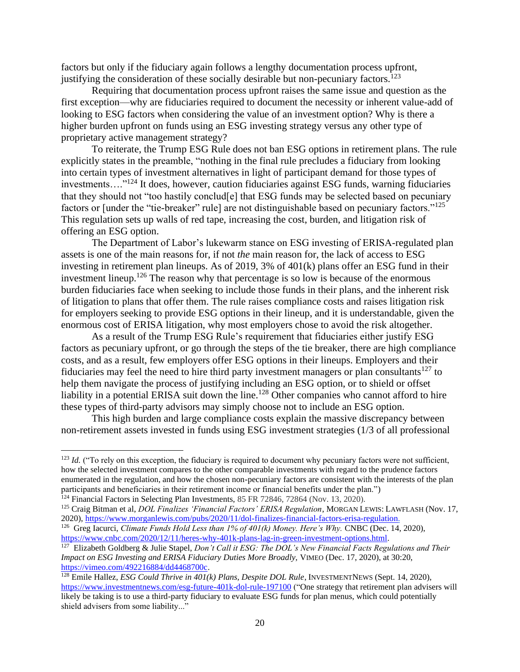factors but only if the fiduciary again follows a lengthy documentation process upfront, justifying the consideration of these socially desirable but non-pecuniary factors.<sup>123</sup>

Requiring that documentation process upfront raises the same issue and question as the first exception—why are fiduciaries required to document the necessity or inherent value-add of looking to ESG factors when considering the value of an investment option? Why is there a higher burden upfront on funds using an ESG investing strategy versus any other type of proprietary active management strategy?

To reiterate, the Trump ESG Rule does not ban ESG options in retirement plans. The rule explicitly states in the preamble, "nothing in the final rule precludes a fiduciary from looking into certain types of investment alternatives in light of participant demand for those types of investments…."<sup>124</sup> It does, however, caution fiduciaries against ESG funds, warning fiduciaries that they should not "too hastily conclud[e] that ESG funds may be selected based on pecuniary factors or [under the "tie-breaker" rule] are not distinguishable based on pecuniary factors."<sup>125</sup> This regulation sets up walls of red tape, increasing the cost, burden, and litigation risk of offering an ESG option.

The Department of Labor's lukewarm stance on ESG investing of ERISA-regulated plan assets is one of the main reasons for, if not *the* main reason for, the lack of access to ESG investing in retirement plan lineups. As of 2019, 3% of 401(k) plans offer an ESG fund in their investment lineup.<sup>126</sup> The reason why that percentage is so low is because of the enormous burden fiduciaries face when seeking to include those funds in their plans, and the inherent risk of litigation to plans that offer them. The rule raises compliance costs and raises litigation risk for employers seeking to provide ESG options in their lineup, and it is understandable, given the enormous cost of ERISA litigation, why most employers chose to avoid the risk altogether.

As a result of the Trump ESG Rule's requirement that fiduciaries either justify ESG factors as pecuniary upfront, or go through the steps of the tie breaker, there are high compliance costs, and as a result, few employers offer ESG options in their lineups. Employers and their fiduciaries may feel the need to hire third party investment managers or plan consultants<sup>127</sup> to help them navigate the process of justifying including an ESG option, or to shield or offset liability in a potential ERISA suit down the line.<sup>128</sup> Other companies who cannot afford to hire these types of third-party advisors may simply choose not to include an ESG option.

This high burden and large compliance costs explain the massive discrepancy between non-retirement assets invested in funds using ESG investment strategies (1/3 of all professional

 $^{123}$  *Id.* ("To rely on this exception, the fiduciary is required to document why pecuniary factors were not sufficient, how the selected investment compares to the other comparable investments with regard to the prudence factors enumerated in the regulation, and how the chosen non-pecuniary factors are consistent with the interests of the plan participants and beneficiaries in their retirement income or financial benefits under the plan.")

<sup>&</sup>lt;sup>124</sup> Financial Factors in Selecting Plan Investments, 85 FR 72846, 72864 (Nov. 13, 2020).

<sup>125</sup> Craig Bitman et al, *DOL Finalizes 'Financial Factors' ERISA Regulation*, MORGAN LEWIS: LAWFLASH (Nov. 17, 2020), [https://www.morganlewis.com/pubs/2020/11/dol-finalizes-financial-factors-erisa-regulation.](https://www.morganlewis.com/pubs/2020/11/dol-finalizes-financial-factors-erisa-regulation)

<sup>&</sup>lt;sup>126</sup> Greg Iacurci, *Climate Funds Hold Less than 1% of 401(k) Money. Here's Why. CNBC (Dec. 14, 2020),* [https://www.cnbc.com/2020/12/11/heres-why-401k-plans-lag-in-green-investment-options.html.](https://www.cnbc.com/2020/12/11/heres-why-401k-plans-lag-in-green-investment-options.html)

<sup>127</sup> Elizabeth Goldberg & Julie Stapel, *Don't Call it ESG: The DOL's New Financial Facts Regulations and Their Impact on ESG Investing and ERISA Fiduciary Duties More Broadly,* VIMEO (Dec. 17, 2020), at 30:20, [https://vimeo.com/492216884/dd4468700c.](https://vimeo.com/492216884/dd4468700c)

<sup>128</sup> Emile Hallez, *ESG Could Thrive in 401(k) Plans, Despite DOL Rule*, INVESTMENTNEWS (Sept. 14, 2020), <https://www.investmentnews.com/esg-future-401k-dol-rule-197100> ("One strategy that retirement plan advisers will likely be taking is to use a third-party fiduciary to evaluate ESG funds for plan menus, which could potentially shield advisers from some liability..."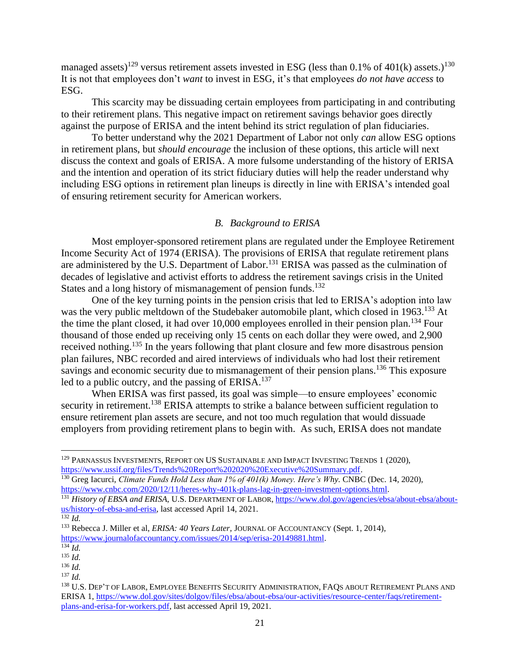managed assets)<sup>129</sup> versus retirement assets invested in ESG (less than 0.1% of 401(k) assets.)<sup>130</sup> It is not that employees don't *want* to invest in ESG, it's that employees *do not have access* to ESG.

This scarcity may be dissuading certain employees from participating in and contributing to their retirement plans. This negative impact on retirement savings behavior goes directly against the purpose of ERISA and the intent behind its strict regulation of plan fiduciaries.

To better understand why the 2021 Department of Labor not only *can* allow ESG options in retirement plans, but *should encourage* the inclusion of these options, this article will next discuss the context and goals of ERISA. A more fulsome understanding of the history of ERISA and the intention and operation of its strict fiduciary duties will help the reader understand why including ESG options in retirement plan lineups is directly in line with ERISA's intended goal of ensuring retirement security for American workers.

#### *B. Background to ERISA*

<span id="page-23-0"></span>Most employer-sponsored retirement plans are regulated under the Employee Retirement Income Security Act of 1974 (ERISA). The provisions of ERISA that regulate retirement plans are administered by the U.S. Department of Labor.<sup>131</sup> ERISA was passed as the culmination of decades of legislative and activist efforts to address the retirement savings crisis in the United States and a long history of mismanagement of pension funds.<sup>132</sup>

One of the key turning points in the pension crisis that led to ERISA's adoption into law was the very public meltdown of the Studebaker automobile plant, which closed in 1963.<sup>133</sup> At the time the plant closed, it had over  $10,000$  employees enrolled in their pension plan.<sup>134</sup> Four thousand of those ended up receiving only 15 cents on each dollar they were owed, and 2,900 received nothing.<sup>135</sup> In the years following that plant closure and few more disastrous pension plan failures, NBC recorded and aired interviews of individuals who had lost their retirement savings and economic security due to mismanagement of their pension plans.<sup>136</sup> This exposure led to a public outcry, and the passing of ERISA.<sup>137</sup>

When ERISA was first passed, its goal was simple—to ensure employees' economic security in retirement.<sup>138</sup> ERISA attempts to strike a balance between sufficient regulation to ensure retirement plan assets are secure, and not too much regulation that would dissuade employers from providing retirement plans to begin with. As such, ERISA does not mandate

<sup>&</sup>lt;sup>129</sup> PARNASSUS INVESTMENTS, REPORT ON US SUSTAINABLE AND IMPACT INVESTING TRENDS 1 (2020). [https://www.ussif.org/files/Trends%20Report%202020%20Executive%20Summary.pdf.](https://www.ussif.org/files/Trends%20Report%202020%20Executive%20Summary.pdf)

<sup>&</sup>lt;sup>130</sup> Greg Iacurci, *Climate Funds Hold Less than 1% of 401(k) Money. Here's Why.* CNBC (Dec. 14, 2020), [https://www.cnbc.com/2020/12/11/heres-why-401k-plans-lag-in-green-investment-options.html.](https://www.cnbc.com/2020/12/11/heres-why-401k-plans-lag-in-green-investment-options.html)

<sup>&</sup>lt;sup>131</sup> *History of EBSA and ERISA*, U.S. DEPARTMENT OF LABOR[, https://www.dol.gov/agencies/ebsa/about-ebsa/about](https://www.dol.gov/agencies/ebsa/about-ebsa/about-us/history-of-ebsa-and-erisa)[us/history-of-ebsa-and-erisa,](https://www.dol.gov/agencies/ebsa/about-ebsa/about-us/history-of-ebsa-and-erisa) last accessed April 14, 2021. <sup>132</sup> *Id.*

<sup>133</sup> Rebecca J. Miller et al, *ERISA: 40 Years Later,* JOURNAL OF ACCOUNTANCY (Sept. 1, 2014), [https://www.journalofaccountancy.com/issues/2014/sep/erisa-20149881.html.](https://www.journalofaccountancy.com/issues/2014/sep/erisa-20149881.html)

 $^{134}$  *Id.* 

<sup>135</sup> *Id.* <sup>136</sup> *Id.*

 $^{137}$  *Id.* 

<sup>&</sup>lt;sup>138</sup> U.S. DEP'T OF LABOR, EMPLOYEE BENEFITS SECURITY ADMINISTRATION, FAQS ABOUT RETIREMENT PLANS AND ERISA 1, [https://www.dol.gov/sites/dolgov/files/ebsa/about-ebsa/our-activities/resource-center/faqs/retirement](https://www.dol.gov/sites/dolgov/files/ebsa/about-ebsa/our-activities/resource-center/faqs/retirement-plans-and-erisa-for-workers.pdf)[plans-and-erisa-for-workers.pdf,](https://www.dol.gov/sites/dolgov/files/ebsa/about-ebsa/our-activities/resource-center/faqs/retirement-plans-and-erisa-for-workers.pdf) last accessed April 19, 2021.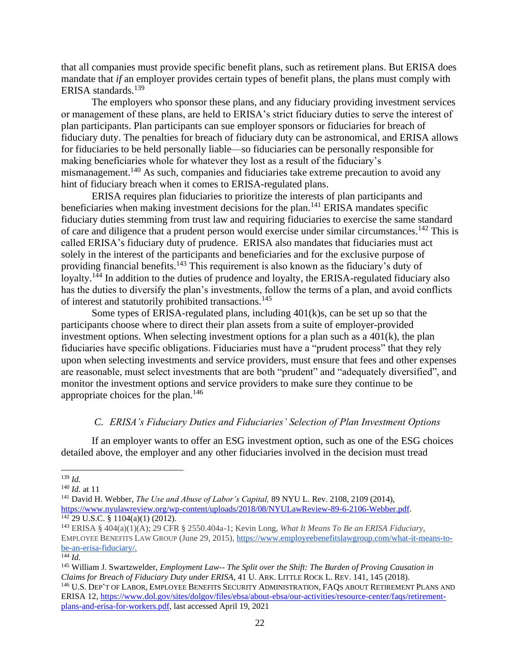that all companies must provide specific benefit plans, such as retirement plans. But ERISA does mandate that *if* an employer provides certain types of benefit plans, the plans must comply with ERISA standards.<sup>139</sup>

The employers who sponsor these plans, and any fiduciary providing investment services or management of these plans, are held to ERISA's strict fiduciary duties to serve the interest of plan participants. Plan participants can sue employer sponsors or fiduciaries for breach of fiduciary duty. The penalties for breach of fiduciary duty can be astronomical, and ERISA allows for fiduciaries to be held personally liable—so fiduciaries can be personally responsible for making beneficiaries whole for whatever they lost as a result of the fiduciary's mismanagement.<sup>140</sup> As such, companies and fiduciaries take extreme precaution to avoid any hint of fiduciary breach when it comes to ERISA-regulated plans.

ERISA requires plan fiduciaries to prioritize the interests of plan participants and beneficiaries when making investment decisions for the plan.<sup>141</sup> ERISA mandates specific fiduciary duties stemming from trust law and requiring fiduciaries to exercise the same standard of care and diligence that a prudent person would exercise under similar circumstances.<sup>142</sup> This is called ERISA's fiduciary duty of prudence. ERISA also mandates that fiduciaries must act solely in the interest of the participants and beneficiaries and for the exclusive purpose of providing financial benefits.<sup>143</sup> This requirement is also known as the fiduciary's duty of loyalty.<sup>144</sup> In addition to the duties of prudence and loyalty, the ERISA-regulated fiduciary also has the duties to diversify the plan's investments, follow the terms of a plan, and avoid conflicts of interest and statutorily prohibited transactions.<sup>145</sup>

Some types of ERISA-regulated plans, including 401(k)s, can be set up so that the participants choose where to direct their plan assets from a suite of employer-provided investment options. When selecting investment options for a plan such as a 401(k), the plan fiduciaries have specific obligations. Fiduciaries must have a "prudent process" that they rely upon when selecting investments and service providers, must ensure that fees and other expenses are reasonable, must select investments that are both "prudent" and "adequately diversified", and monitor the investment options and service providers to make sure they continue to be appropriate choices for the plan.<sup>146</sup>

#### *C. ERISA's Fiduciary Duties and Fiduciaries' Selection of Plan Investment Options*

<span id="page-24-0"></span>If an employer wants to offer an ESG investment option, such as one of the ESG choices detailed above, the employer and any other fiduciaries involved in the decision must tread

<sup>139</sup> *Id.*

<sup>140</sup> *Id.* at 11

<sup>141</sup> David H. Webber, *The Use and Abuse of Labor's Capital,* 89 NYU L. Rev. 2108, 2109 (2014), [https://www.nyulawreview.org/wp-content/uploads/2018/08/NYULawReview-89-6-2106-Webber.pdf.](https://www.nyulawreview.org/wp-content/uploads/2018/08/NYULawReview-89-6-2106-Webber.pdf)  $142$  29 U.S.C. § 1104(a)(1) (2012).

<sup>143</sup> ERISA § 404(a)(1)(A); 29 CFR § 2550.404a-1; Kevin Long, *What It Means To Be an ERISA Fiduciary,*  EMPLOYEE BENEFITS LAW GROUP (June 29, 2015)[, https://www.employeebenefitslawgroup.com/what-it-means-to](https://www.employeebenefitslawgroup.com/what-it-means-to-be-an-erisa-fiduciary/)[be-an-erisa-fiduciary/.](https://www.employeebenefitslawgroup.com/what-it-means-to-be-an-erisa-fiduciary/)

 $\overline{\phantom{a}144}$  *Id.* 

<sup>145</sup> William J. Swartzwelder, *Employment Law-- The Split over the Shift: The Burden of Proving Causation in Claims for Breach of Fiduciary Duty under ERISA*, 41 U. ARK. LITTLE ROCK L. REV. 141, 145 (2018). <sup>146</sup> U.S. DEP'T OF LABOR, EMPLOYEE BENEFITS SECURITY ADMINISTRATION, FAQS ABOUT RETIREMENT PLANS AND ERISA 12, [https://www.dol.gov/sites/dolgov/files/ebsa/about-ebsa/our-activities/resource-center/faqs/retirement](https://www.dol.gov/sites/dolgov/files/ebsa/about-ebsa/our-activities/resource-center/faqs/retirement-plans-and-erisa-for-workers.pdf)[plans-and-erisa-for-workers.pdf,](https://www.dol.gov/sites/dolgov/files/ebsa/about-ebsa/our-activities/resource-center/faqs/retirement-plans-and-erisa-for-workers.pdf) last accessed April 19, 2021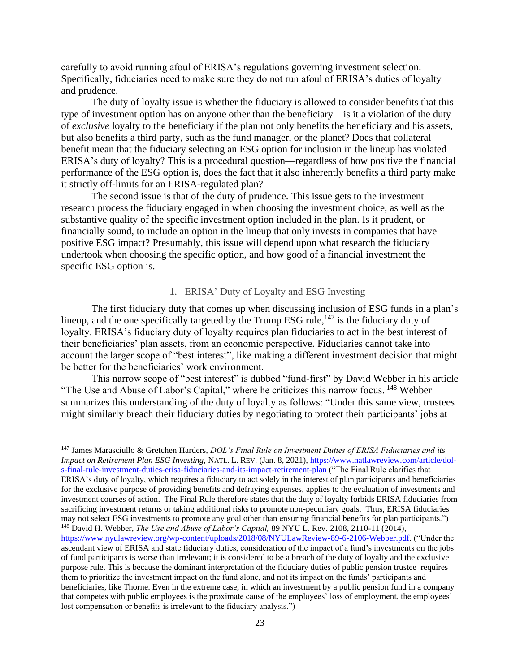carefully to avoid running afoul of ERISA's regulations governing investment selection. Specifically, fiduciaries need to make sure they do not run afoul of ERISA's duties of loyalty and prudence.

The duty of loyalty issue is whether the fiduciary is allowed to consider benefits that this type of investment option has on anyone other than the beneficiary—is it a violation of the duty of *exclusive* loyalty to the beneficiary if the plan not only benefits the beneficiary and his assets, but also benefits a third party, such as the fund manager, or the planet? Does that collateral benefit mean that the fiduciary selecting an ESG option for inclusion in the lineup has violated ERISA's duty of loyalty? This is a procedural question—regardless of how positive the financial performance of the ESG option is, does the fact that it also inherently benefits a third party make it strictly off-limits for an ERISA-regulated plan?

The second issue is that of the duty of prudence. This issue gets to the investment research process the fiduciary engaged in when choosing the investment choice, as well as the substantive quality of the specific investment option included in the plan. Is it prudent, or financially sound, to include an option in the lineup that only invests in companies that have positive ESG impact? Presumably, this issue will depend upon what research the fiduciary undertook when choosing the specific option, and how good of a financial investment the specific ESG option is.

#### 1. ERISA' Duty of Loyalty and ESG Investing

<span id="page-25-0"></span>The first fiduciary duty that comes up when discussing inclusion of ESG funds in a plan's lineup, and the one specifically targeted by the Trump ESG rule,  $147$  is the fiduciary duty of loyalty. ERISA's fiduciary duty of loyalty requires plan fiduciaries to act in the best interest of their beneficiaries' plan assets, from an economic perspective. Fiduciaries cannot take into account the larger scope of "best interest", like making a different investment decision that might be better for the beneficiaries' work environment.

This narrow scope of "best interest" is dubbed "fund-first" by David Webber in his article "The Use and Abuse of Labor's Capital," where he criticizes this narrow focus. <sup>148</sup> Webber summarizes this understanding of the duty of loyalty as follows: "Under this same view, trustees might similarly breach their fiduciary duties by negotiating to protect their participants' jobs at

<sup>147</sup> James Marasciullo & Gretchen Harders, *DOL's Final Rule on Investment Duties of ERISA Fiduciaries and its Impact on Retirement Plan ESG Investing,* NATL. L. REV. (Jan. 8, 2021), [https://www.natlawreview.com/article/dol](https://www.natlawreview.com/article/dol-s-final-rule-investment-duties-erisa-fiduciaries-and-its-impact-retirement-plan)[s-final-rule-investment-duties-erisa-fiduciaries-and-its-impact-retirement-plan](https://www.natlawreview.com/article/dol-s-final-rule-investment-duties-erisa-fiduciaries-and-its-impact-retirement-plan) ("The Final Rule clarifies that ERISA's duty of loyalty, which requires a fiduciary to act solely in the interest of plan participants and beneficiaries for the exclusive purpose of providing benefits and defraying expenses, applies to the evaluation of investments and investment courses of action. The Final Rule therefore states that the duty of loyalty forbids ERISA fiduciaries from sacrificing investment returns or taking additional risks to promote non-pecuniary goals. Thus, ERISA fiduciaries may not select ESG investments to promote any goal other than ensuring financial benefits for plan participants.") <sup>148</sup> David H. Webber, *The Use and Abuse of Labor's Capital,* 89 NYU L. Rev. 2108, 2110-11 (2014), [https://www.nyulawreview.org/wp-content/uploads/2018/08/NYULawReview-89-6-2106-Webber.pdf.](https://www.nyulawreview.org/wp-content/uploads/2018/08/NYULawReview-89-6-2106-Webber.pdf) ("Under the ascendant view of ERISA and state fiduciary duties, consideration of the impact of a fund's investments on the jobs

of fund participants is worse than irrelevant; it is considered to be a breach of the duty of loyalty and the exclusive purpose rule. This is because the dominant interpretation of the fiduciary duties of public pension trustee requires them to prioritize the investment impact on the fund alone, and not its impact on the funds' participants and beneficiaries, like Thorne. Even in the extreme case, in which an investment by a public pension fund in a company that competes with public employees is the proximate cause of the employees' loss of employment, the employees' lost compensation or benefits is irrelevant to the fiduciary analysis.")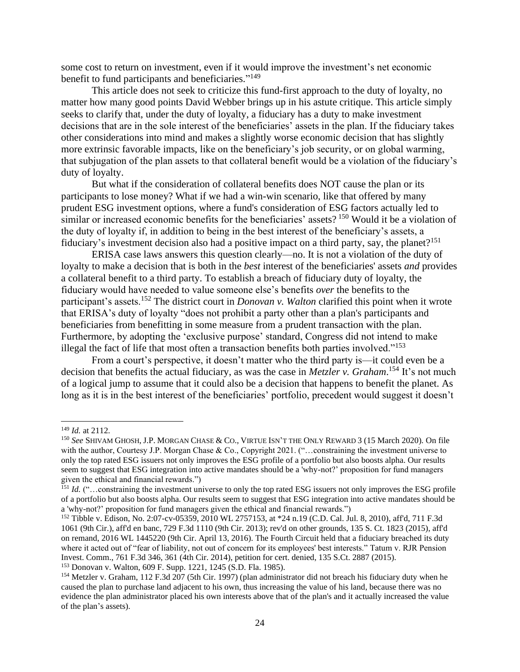some cost to return on investment, even if it would improve the investment's net economic benefit to fund participants and beneficiaries."<sup>149</sup>

This article does not seek to criticize this fund-first approach to the duty of loyalty, no matter how many good points David Webber brings up in his astute critique. This article simply seeks to clarify that, under the duty of loyalty, a fiduciary has a duty to make investment decisions that are in the sole interest of the beneficiaries' assets in the plan. If the fiduciary takes other considerations into mind and makes a slightly worse economic decision that has slightly more extrinsic favorable impacts, like on the beneficiary's job security, or on global warming, that subjugation of the plan assets to that collateral benefit would be a violation of the fiduciary's duty of loyalty.

But what if the consideration of collateral benefits does NOT cause the plan or its participants to lose money? What if we had a win-win scenario, like that offered by many prudent ESG investment options, where a fund's consideration of ESG factors actually led to similar or increased economic benefits for the beneficiaries' assets? <sup>150</sup> Would it be a violation of the duty of loyalty if, in addition to being in the best interest of the beneficiary's assets, a fiduciary's investment decision also had a positive impact on a third party, say, the planet?<sup>151</sup>

ERISA case laws answers this question clearly—no. It is not a violation of the duty of loyalty to make a decision that is both in the *best* interest of the beneficiaries' assets *and* provides a collateral benefit to a third party. To establish a breach of fiduciary duty of loyalty, the fiduciary would have needed to value someone else's benefits *over* the benefits to the participant's assets.<sup>152</sup> The district court in *Donovan v. Walton* clarified this point when it wrote that ERISA's duty of loyalty "does not prohibit a party other than a plan's participants and beneficiaries from benefitting in some measure from a prudent transaction with the plan. Furthermore, by adopting the 'exclusive purpose' standard, Congress did not intend to make illegal the fact of life that most often a transaction benefits both parties involved."<sup>153</sup>

From a court's perspective, it doesn't matter who the third party is—it could even be a decision that benefits the actual fiduciary, as was the case in *Metzler v. Graham*. <sup>154</sup> It's not much of a logical jump to assume that it could also be a decision that happens to benefit the planet. As long as it is in the best interest of the beneficiaries' portfolio, precedent would suggest it doesn't

<sup>149</sup> *Id.* at 2112.

<sup>150</sup> *See* SHIVAM GHOSH, J.P. MORGAN CHASE & CO., VIRTUE ISN'T THE ONLY REWARD 3 (15 March 2020). On file with the author, Courtesy J.P. Morgan Chase & Co., Copyright 2021. ("...constraining the investment universe to only the top rated ESG issuers not only improves the ESG profile of a portfolio but also boosts alpha. Our results seem to suggest that ESG integration into active mandates should be a 'why-not?' proposition for fund managers given the ethical and financial rewards.")

<sup>&</sup>lt;sup>151</sup> *Id.* ("...constraining the investment universe to only the top rated ESG issuers not only improves the ESG profile of a portfolio but also boosts alpha. Our results seem to suggest that ESG integration into active mandates should be a 'why-not?' proposition for fund managers given the ethical and financial rewards.")

<sup>152</sup> Tibble v. Edison, No. 2:07-cv-05359, 2010 WL 2757153, at \*24 n.19 (C.D. Cal. Jul. 8, 2010), aff'd, 711 F.3d 1061 (9th Cir.), aff'd en banc, 729 F.3d 1110 (9th Cir. 2013); rev'd on other grounds, 135 S. Ct. 1823 (2015), aff'd on remand, 2016 WL 1445220 (9th Cir. April 13, 2016). The Fourth Circuit held that a fiduciary breached its duty where it acted out of "fear of liability, not out of concern for its employees' best interests." Tatum v. RJR Pension Invest. Comm., 761 F.3d 346, 361 (4th Cir. 2014), petition for cert. denied, 135 S.Ct. 2887 (2015).

<sup>153</sup> Donovan v. Walton, 609 F. Supp. 1221, 1245 (S.D. Fla. 1985).

<sup>154</sup> Metzler v. Graham, 112 F.3d 207 (5th Cir. 1997) (plan administrator did not breach his fiduciary duty when he caused the plan to purchase land adjacent to his own, thus increasing the value of his land, because there was no evidence the plan administrator placed his own interests above that of the plan's and it actually increased the value of the plan's assets).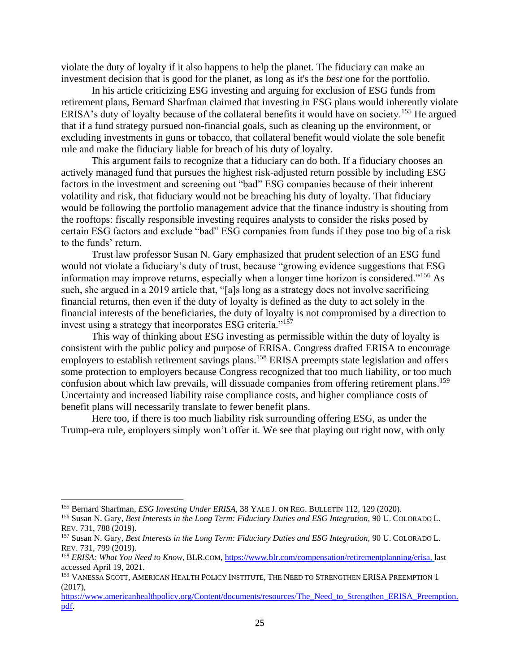violate the duty of loyalty if it also happens to help the planet. The fiduciary can make an investment decision that is good for the planet, as long as it's the *best* one for the portfolio.

In his article criticizing ESG investing and arguing for exclusion of ESG funds from retirement plans, Bernard Sharfman claimed that investing in ESG plans would inherently violate ERISA's duty of loyalty because of the collateral benefits it would have on society.<sup>155</sup> He argued that if a fund strategy pursued non-financial goals, such as cleaning up the environment, or excluding investments in guns or tobacco, that collateral benefit would violate the sole benefit rule and make the fiduciary liable for breach of his duty of loyalty.

This argument fails to recognize that a fiduciary can do both. If a fiduciary chooses an actively managed fund that pursues the highest risk-adjusted return possible by including ESG factors in the investment and screening out "bad" ESG companies because of their inherent volatility and risk, that fiduciary would not be breaching his duty of loyalty. That fiduciary would be following the portfolio management advice that the finance industry is shouting from the rooftops: fiscally responsible investing requires analysts to consider the risks posed by certain ESG factors and exclude "bad" ESG companies from funds if they pose too big of a risk to the funds' return.

Trust law professor Susan N. Gary emphasized that prudent selection of an ESG fund would not violate a fiduciary's duty of trust, because "growing evidence suggestions that ESG information may improve returns, especially when a longer time horizon is considered."<sup>156</sup> As such, she argued in a 2019 article that, "[a]s long as a strategy does not involve sacrificing financial returns, then even if the duty of loyalty is defined as the duty to act solely in the financial interests of the beneficiaries, the duty of loyalty is not compromised by a direction to invest using a strategy that incorporates ESG criteria."<sup>157</sup>

This way of thinking about ESG investing as permissible within the duty of loyalty is consistent with the public policy and purpose of ERISA. Congress drafted ERISA to encourage employers to establish retirement savings plans.<sup>158</sup> ERISA preempts state legislation and offers some protection to employers because Congress recognized that too much liability, or too much confusion about which law prevails, will dissuade companies from offering retirement plans.<sup>159</sup> Uncertainty and increased liability raise compliance costs, and higher compliance costs of benefit plans will necessarily translate to fewer benefit plans.

Here too, if there is too much liability risk surrounding offering ESG, as under the Trump-era rule, employers simply won't offer it. We see that playing out right now, with only

<sup>155</sup> Bernard Sharfman, *ESG Investing Under ERISA,* 38 YALE J. ON REG. BULLETIN 112, 129 (2020).

<sup>156</sup> Susan N. Gary, *Best Interests in the Long Term: Fiduciary Duties and ESG Integration,* 90 U. COLORADO L. REV. 731, 788 (2019).

<sup>157</sup> Susan N. Gary, *Best Interests in the Long Term: Fiduciary Duties and ESG Integration,* 90 U. COLORADO L. REV. 731, 799 (2019).

<sup>&</sup>lt;sup>158</sup> *ERISA: What You Need to Know*, BLR.COM[, https://www.blr.com/compensation/retirementplanning/erisa,](https://www.blr.com/compensation/retirementplanning/erisa) last accessed April 19, 2021.

<sup>&</sup>lt;sup>159</sup> VANESSA SCOTT, AMERICAN HEALTH POLICY INSTITUTE, THE NEED TO STRENGTHEN ERISA PREEMPTION 1 (2017),

[https://www.americanhealthpolicy.org/Content/documents/resources/The\\_Need\\_to\\_Strengthen\\_ERISA\\_Preemption.](https://www.americanhealthpolicy.org/Content/documents/resources/The_Need_to_Strengthen_ERISA_Preemption.pdf) [pdf.](https://www.americanhealthpolicy.org/Content/documents/resources/The_Need_to_Strengthen_ERISA_Preemption.pdf)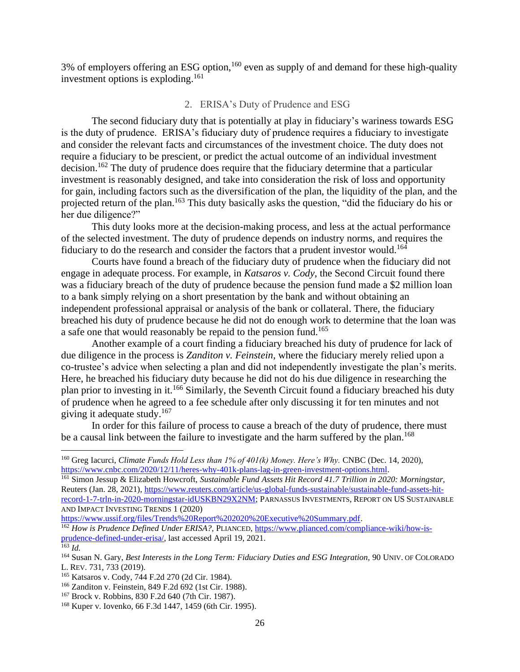<span id="page-28-0"></span>3% of employers offering an ESG option,<sup>160</sup> even as supply of and demand for these high-quality investment options is exploding. 161

## 2. ERISA's Duty of Prudence and ESG

The second fiduciary duty that is potentially at play in fiduciary's wariness towards ESG is the duty of prudence. ERISA's fiduciary duty of prudence requires a fiduciary to investigate and consider the relevant facts and circumstances of the investment choice. The duty does not require a fiduciary to be prescient, or predict the actual outcome of an individual investment decision.<sup>162</sup> The duty of prudence does require that the fiduciary determine that a particular investment is reasonably designed, and take into consideration the risk of loss and opportunity for gain, including factors such as the diversification of the plan, the liquidity of the plan, and the projected return of the plan.<sup>163</sup> This duty basically asks the question, "did the fiduciary do his or her due diligence?"

This duty looks more at the decision-making process, and less at the actual performance of the selected investment. The duty of prudence depends on industry norms, and requires the fiduciary to do the research and consider the factors that a prudent investor would.<sup>164</sup>

Courts have found a breach of the fiduciary duty of prudence when the fiduciary did not engage in adequate process. For example, in *Katsaros v. Cody*, the Second Circuit found there was a fiduciary breach of the duty of prudence because the pension fund made a \$2 million loan to a bank simply relying on a short presentation by the bank and without obtaining an independent professional appraisal or analysis of the bank or collateral. There, the fiduciary breached his duty of prudence because he did not do enough work to determine that the loan was a safe one that would reasonably be repaid to the pension fund.<sup>165</sup>

Another example of a court finding a fiduciary breached his duty of prudence for lack of due diligence in the process is *Zanditon v. Feinstein*, where the fiduciary merely relied upon a co-trustee's advice when selecting a plan and did not independently investigate the plan's merits. Here, he breached his fiduciary duty because he did not do his due diligence in researching the plan prior to investing in it.<sup>166</sup> Similarly, the Seventh Circuit found a fiduciary breached his duty of prudence when he agreed to a fee schedule after only discussing it for ten minutes and not giving it adequate study. $167$ 

In order for this failure of process to cause a breach of the duty of prudence, there must be a causal link between the failure to investigate and the harm suffered by the plan.<sup>168</sup>

<sup>160</sup> Greg Iacurci, *Climate Funds Hold Less than 1% of 401(k) Money. Here's Why.* CNBC (Dec. 14, 2020), [https://www.cnbc.com/2020/12/11/heres-why-401k-plans-lag-in-green-investment-options.html.](https://www.cnbc.com/2020/12/11/heres-why-401k-plans-lag-in-green-investment-options.html)

<sup>161</sup> Simon Jessup & Elizabeth Howcroft, *Sustainable Fund Assets Hit Record 41.7 Trillion in 2020: Morningstar,*  Reuters (Jan. 28, 2021), [https://www.reuters.com/article/us-global-funds-sustainable/sustainable-fund-assets-hit](https://www.reuters.com/article/us-global-funds-sustainable/sustainable-fund-assets-hit-record-1-7-trln-in-2020-morningstar-idUSKBN29X2NM)[record-1-7-trln-in-2020-morningstar-idUSKBN29X2NM;](https://www.reuters.com/article/us-global-funds-sustainable/sustainable-fund-assets-hit-record-1-7-trln-in-2020-morningstar-idUSKBN29X2NM) PARNASSUS INVESTMENTS, REPORT ON US SUSTAINABLE AND IMPACT INVESTING TRENDS 1 (2020)

[https://www.ussif.org/files/Trends%20Report%202020%20Executive%20Summary.pdf.](https://www.ussif.org/files/Trends%20Report%202020%20Executive%20Summary.pdf)

<sup>162</sup> *How is Prudence Defined Under ERISA?,* PLIANCED, [https://www.plianced.com/compliance-wiki/how-is](https://www.plianced.com/compliance-wiki/how-is-prudence-defined-under-erisa/)[prudence-defined-under-erisa/,](https://www.plianced.com/compliance-wiki/how-is-prudence-defined-under-erisa/) last accessed April 19, 2021.

 $^{163}$  *Id.* 

<sup>&</sup>lt;sup>164</sup> Susan N. Gary, *Best Interests in the Long Term: Fiduciary Duties and ESG Integration*, 90 UNIV. OF COLORADO L. REV. 731, 733 (2019).

<sup>165</sup> Katsaros v. Cody, 744 F.2d 270 (2d Cir. 1984).

<sup>166</sup> Zanditon v. Feinstein, 849 F.2d 692 (1st Cir. 1988).

<sup>167</sup> Brock v. Robbins, 830 F.2d 640 (7th Cir. 1987).

<sup>168</sup> Kuper v. Iovenko, 66 F.3d 1447, 1459 (6th Cir. 1995).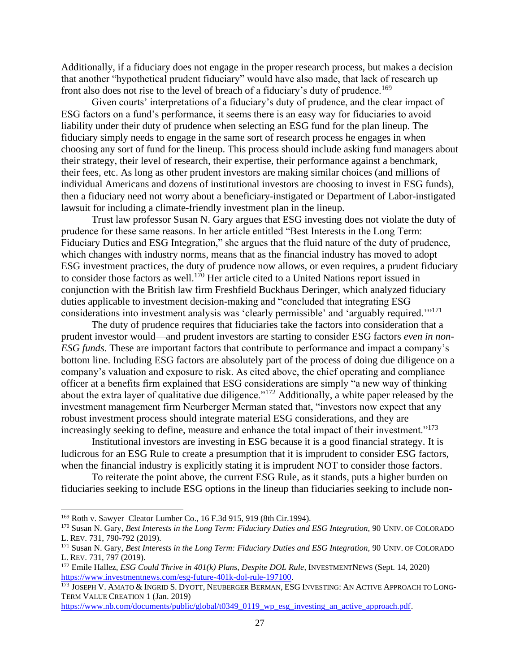Additionally, if a fiduciary does not engage in the proper research process, but makes a decision that another "hypothetical prudent fiduciary" would have also made, that lack of research up front also does not rise to the level of breach of a fiduciary's duty of prudence.<sup>169</sup>

Given courts' interpretations of a fiduciary's duty of prudence, and the clear impact of ESG factors on a fund's performance, it seems there is an easy way for fiduciaries to avoid liability under their duty of prudence when selecting an ESG fund for the plan lineup. The fiduciary simply needs to engage in the same sort of research process he engages in when choosing any sort of fund for the lineup. This process should include asking fund managers about their strategy, their level of research, their expertise, their performance against a benchmark, their fees, etc. As long as other prudent investors are making similar choices (and millions of individual Americans and dozens of institutional investors are choosing to invest in ESG funds), then a fiduciary need not worry about a beneficiary-instigated or Department of Labor-instigated lawsuit for including a climate-friendly investment plan in the lineup.

Trust law professor Susan N. Gary argues that ESG investing does not violate the duty of prudence for these same reasons. In her article entitled "Best Interests in the Long Term: Fiduciary Duties and ESG Integration," she argues that the fluid nature of the duty of prudence, which changes with industry norms, means that as the financial industry has moved to adopt ESG investment practices, the duty of prudence now allows, or even requires, a prudent fiduciary to consider those factors as well.<sup>170</sup> Her article cited to a United Nations report issued in conjunction with the British law firm Freshfield Buckhaus Deringer, which analyzed fiduciary duties applicable to investment decision-making and "concluded that integrating ESG considerations into investment analysis was 'clearly permissible' and 'arguably required.'"<sup>171</sup>

The duty of prudence requires that fiduciaries take the factors into consideration that a prudent investor would—and prudent investors are starting to consider ESG factors *even in non-ESG funds*. These are important factors that contribute to performance and impact a company's bottom line. Including ESG factors are absolutely part of the process of doing due diligence on a company's valuation and exposure to risk. As cited above, the chief operating and compliance officer at a benefits firm explained that ESG considerations are simply "a new way of thinking about the extra layer of qualitative due diligence."<sup>172</sup> Additionally, a white paper released by the investment management firm Neurberger Merman stated that, "investors now expect that any robust investment process should integrate material ESG considerations, and they are increasingly seeking to define, measure and enhance the total impact of their investment."<sup>173</sup>

Institutional investors are investing in ESG because it is a good financial strategy. It is ludicrous for an ESG Rule to create a presumption that it is imprudent to consider ESG factors, when the financial industry is explicitly stating it is imprudent NOT to consider those factors.

To reiterate the point above, the current ESG Rule, as it stands, puts a higher burden on fiduciaries seeking to include ESG options in the lineup than fiduciaries seeking to include non-

<sup>169</sup> Roth v. Sawyer–Cleator Lumber Co., 16 F.3d 915, 919 (8th Cir.1994).

<sup>&</sup>lt;sup>170</sup> Susan N. Gary, *Best Interests in the Long Term: Fiduciary Duties and ESG Integration*, 90 UNIV. OF COLORADO L. REV. 731, 790-792 (2019).

<sup>&</sup>lt;sup>171</sup> Susan N. Gary, *Best Interests in the Long Term: Fiduciary Duties and ESG Integration*, 90 UNIV. OF COLORADO L. REV. 731, 797 (2019).

<sup>172</sup> Emile Hallez, *ESG Could Thrive in 401(k) Plans, Despite DOL Rule,* INVESTMENTNEWS (Sept. 14, 2020) [https://www.investmentnews.com/esg-future-401k-dol-rule-197100.](https://www.investmentnews.com/esg-future-401k-dol-rule-197100)

<sup>173</sup> JOSEPH V. AMATO & INGRID S. DYOTT, NEUBERGER BERMAN, ESG INVESTING: AN ACTIVE APPROACH TO LONG-TERM VALUE CREATION 1 (Jan. 2019)

[https://www.nb.com/documents/public/global/t0349\\_0119\\_wp\\_esg\\_investing\\_an\\_active\\_approach.pdf.](https://www.nb.com/documents/public/global/t0349_0119_wp_esg_investing_an_active_approach.pdf)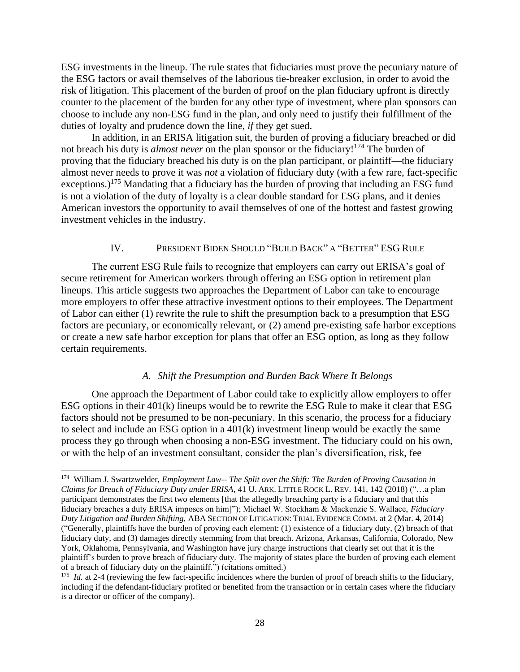ESG investments in the lineup. The rule states that fiduciaries must prove the pecuniary nature of the ESG factors or avail themselves of the laborious tie-breaker exclusion, in order to avoid the risk of litigation. This placement of the burden of proof on the plan fiduciary upfront is directly counter to the placement of the burden for any other type of investment, where plan sponsors can choose to include any non-ESG fund in the plan, and only need to justify their fulfillment of the duties of loyalty and prudence down the line, *if* they get sued.

In addition, in an ERISA litigation suit, the burden of proving a fiduciary breached or did not breach his duty is *almost never* on the plan sponsor or the fiduciary!<sup>174</sup> The burden of proving that the fiduciary breached his duty is on the plan participant, or plaintiff—the fiduciary almost never needs to prove it was *not* a violation of fiduciary duty (with a few rare, fact-specific exceptions.)<sup>175</sup> Mandating that a fiduciary has the burden of proving that including an ESG fund is not a violation of the duty of loyalty is a clear double standard for ESG plans, and it denies American investors the opportunity to avail themselves of one of the hottest and fastest growing investment vehicles in the industry.

### <span id="page-30-0"></span>IV. PRESIDENT BIDEN SHOULD "BUILD BACK" A "BETTER" ESG RULE

The current ESG Rule fails to recognize that employers can carry out ERISA's goal of secure retirement for American workers through offering an ESG option in retirement plan lineups. This article suggests two approaches the Department of Labor can take to encourage more employers to offer these attractive investment options to their employees. The Department of Labor can either (1) rewrite the rule to shift the presumption back to a presumption that ESG factors are pecuniary, or economically relevant, or (2) amend pre-existing safe harbor exceptions or create a new safe harbor exception for plans that offer an ESG option, as long as they follow certain requirements.

#### *A. Shift the Presumption and Burden Back Where It Belongs*

<span id="page-30-1"></span>One approach the Department of Labor could take to explicitly allow employers to offer ESG options in their 401(k) lineups would be to rewrite the ESG Rule to make it clear that ESG factors should not be presumed to be non-pecuniary. In this scenario, the process for a fiduciary to select and include an ESG option in a 401(k) investment lineup would be exactly the same process they go through when choosing a non-ESG investment. The fiduciary could on his own, or with the help of an investment consultant, consider the plan's diversification, risk, fee

<sup>174</sup> William J. Swartzwelder, *Employment Law-- The Split over the Shift: The Burden of Proving Causation in Claims for Breach of Fiduciary Duty under ERISA*, 41 U. ARK. LITTLE ROCK L. REV. 141, 142 (2018) ("…a plan participant demonstrates the first two elements [that the allegedly breaching party is a fiduciary and that this fiduciary breaches a duty ERISA imposes on him]"); Michael W. Stockham & Mackenzie S. Wallace, *Fiduciary Duty Litigation and Burden Shifting,* ABA SECTION OF LITIGATION: TRIAL EVIDENCE COMM. at 2 (Mar. 4, 2014) ("Generally, plaintiffs have the burden of proving each element: (1) existence of a fiduciary duty, (2) breach of that fiduciary duty, and (3) damages directly stemming from that breach. Arizona, Arkansas, California, Colorado, New York, Oklahoma, Pennsylvania, and Washington have jury charge instructions that clearly set out that it is the plaintiff's burden to prove breach of fiduciary duty. The majority of states place the burden of proving each element of a breach of fiduciary duty on the plaintiff.") (citations omitted.)

<sup>&</sup>lt;sup>175</sup> *Id.* at 2-4 (reviewing the few fact-specific incidences where the burden of proof of breach shifts to the fiduciary, including if the defendant-fiduciary profited or benefited from the transaction or in certain cases where the fiduciary is a director or officer of the company).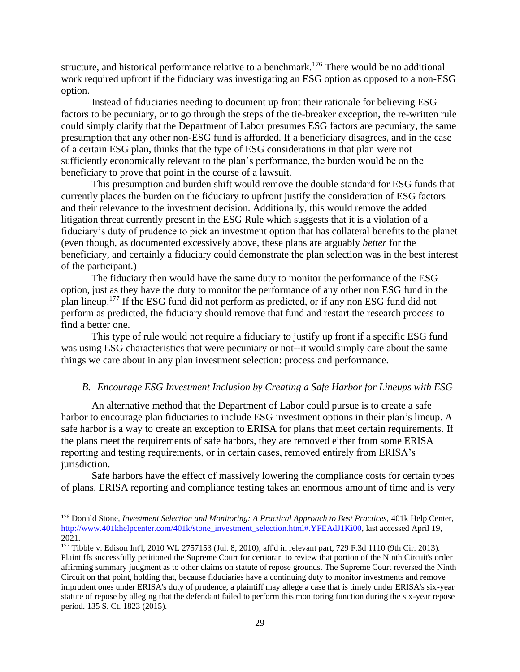structure, and historical performance relative to a benchmark.<sup>176</sup> There would be no additional work required upfront if the fiduciary was investigating an ESG option as opposed to a non-ESG option.

Instead of fiduciaries needing to document up front their rationale for believing ESG factors to be pecuniary, or to go through the steps of the tie-breaker exception, the re-written rule could simply clarify that the Department of Labor presumes ESG factors are pecuniary, the same presumption that any other non-ESG fund is afforded. If a beneficiary disagrees, and in the case of a certain ESG plan, thinks that the type of ESG considerations in that plan were not sufficiently economically relevant to the plan's performance, the burden would be on the beneficiary to prove that point in the course of a lawsuit.

This presumption and burden shift would remove the double standard for ESG funds that currently places the burden on the fiduciary to upfront justify the consideration of ESG factors and their relevance to the investment decision. Additionally, this would remove the added litigation threat currently present in the ESG Rule which suggests that it is a violation of a fiduciary's duty of prudence to pick an investment option that has collateral benefits to the planet (even though, as documented excessively above, these plans are arguably *better* for the beneficiary, and certainly a fiduciary could demonstrate the plan selection was in the best interest of the participant.)

The fiduciary then would have the same duty to monitor the performance of the ESG option, just as they have the duty to monitor the performance of any other non ESG fund in the plan lineup.<sup>177</sup> If the ESG fund did not perform as predicted, or if any non ESG fund did not perform as predicted, the fiduciary should remove that fund and restart the research process to find a better one.

This type of rule would not require a fiduciary to justify up front if a specific ESG fund was using ESG characteristics that were pecuniary or not--it would simply care about the same things we care about in any plan investment selection: process and performance.

#### <span id="page-31-0"></span>*B. Encourage ESG Investment Inclusion by Creating a Safe Harbor for Lineups with ESG*

An alternative method that the Department of Labor could pursue is to create a safe harbor to encourage plan fiduciaries to include ESG investment options in their plan's lineup. A safe harbor is a way to create an exception to ERISA for plans that meet certain requirements. If the plans meet the requirements of safe harbors, they are removed either from some ERISA reporting and testing requirements, or in certain cases, removed entirely from ERISA's jurisdiction.

Safe harbors have the effect of massively lowering the compliance costs for certain types of plans. ERISA reporting and compliance testing takes an enormous amount of time and is very

<sup>&</sup>lt;sup>176</sup> Donald Stone, *Investment Selection and Monitoring: A Practical Approach to Best Practices*, 401k Help Center, [http://www.401khelpcenter.com/401k/stone\\_investment\\_selection.html#.YFEAdJ1Ki00,](http://www.401khelpcenter.com/401k/stone_investment_selection.html#.YFEAdJ1Ki00) last accessed April 19, 2021.

<sup>177</sup> Tibble v. Edison Int'l, 2010 WL 2757153 (Jul. 8, 2010), aff'd in relevant part, 729 F.3d 1110 (9th Cir. 2013). Plaintiffs successfully petitioned the Supreme Court for certiorari to review that portion of the Ninth Circuit's order affirming summary judgment as to other claims on statute of repose grounds. The Supreme Court reversed the Ninth Circuit on that point, holding that, because fiduciaries have a continuing duty to monitor investments and remove imprudent ones under ERISA's duty of prudence, a plaintiff may allege a case that is timely under ERISA's six-year statute of repose by alleging that the defendant failed to perform this monitoring function during the six-year repose period. 135 S. Ct. 1823 (2015).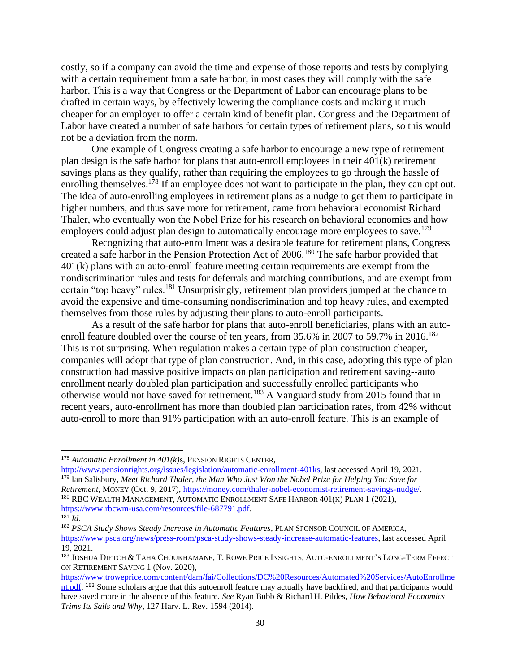costly, so if a company can avoid the time and expense of those reports and tests by complying with a certain requirement from a safe harbor, in most cases they will comply with the safe harbor. This is a way that Congress or the Department of Labor can encourage plans to be drafted in certain ways, by effectively lowering the compliance costs and making it much cheaper for an employer to offer a certain kind of benefit plan. Congress and the Department of Labor have created a number of safe harbors for certain types of retirement plans, so this would not be a deviation from the norm.

One example of Congress creating a safe harbor to encourage a new type of retirement plan design is the safe harbor for plans that auto-enroll employees in their 401(k) retirement savings plans as they qualify, rather than requiring the employees to go through the hassle of enrolling themselves.<sup>178</sup> If an employee does not want to participate in the plan, they can opt out. The idea of auto-enrolling employees in retirement plans as a nudge to get them to participate in higher numbers, and thus save more for retirement, came from behavioral economist Richard Thaler, who eventually won the Nobel Prize for his research on behavioral economics and how employers could adjust plan design to automatically encourage more employees to save.<sup>179</sup>

Recognizing that auto-enrollment was a desirable feature for retirement plans, Congress created a safe harbor in the Pension Protection Act of 2006.<sup>180</sup> The safe harbor provided that 401(k) plans with an auto-enroll feature meeting certain requirements are exempt from the nondiscrimination rules and tests for deferrals and matching contributions, and are exempt from certain "top heavy" rules.<sup>181</sup> Unsurprisingly, retirement plan providers jumped at the chance to avoid the expensive and time-consuming nondiscrimination and top heavy rules, and exempted themselves from those rules by adjusting their plans to auto-enroll participants.

As a result of the safe harbor for plans that auto-enroll beneficiaries, plans with an autoenroll feature doubled over the course of ten years, from 35.6% in 2007 to 59.7% in 2016.<sup>182</sup> This is not surprising. When regulation makes a certain type of plan construction cheaper, companies will adopt that type of plan construction. And, in this case, adopting this type of plan construction had massive positive impacts on plan participation and retirement saving--auto enrollment nearly doubled plan participation and successfully enrolled participants who otherwise would not have saved for retirement.<sup>183</sup> A Vanguard study from 2015 found that in recent years, auto-enrollment has more than doubled plan participation rates, from 42% without auto-enroll to more than 91% participation with an auto-enroll feature. This is an example of

[http://www.pensionrights.org/issues/legislation/automatic-enrollment-401ks,](http://www.pensionrights.org/issues/legislation/automatic-enrollment-401ks) last accessed April 19, 2021. <sup>179</sup> Ian Salisbury, *Meet Richard Thaler, the Man Who Just Won the Nobel Prize for Helping You Save for Retirement,* MONEY (Oct. 9, 2017)[, https://money.com/thaler-nobel-economist-retirement-savings-nudge/.](https://money.com/thaler-nobel-economist-retirement-savings-nudge/) <sup>180</sup> RBC WEALTH MANAGEMENT, AUTOMATIC ENROLLMENT SAFE HARBOR 401(K) PLAN 1 (2021),

<sup>178</sup> *Automatic Enrollment in 401(k)*s, PENSION RIGHTS CENTER,

[https://www.rbcwm-usa.com/resources/file-687791.pdf.](https://www.rbcwm-usa.com/resources/file-687791.pdf)

 $\overline{^{181}}$  *Id.* 

<sup>182</sup> *PSCA Study Shows Steady Increase in Automatic Features*, PLAN SPONSOR COUNCIL OF AMERICA, [https://www.psca.org/news/press-room/psca-study-shows-steady-increase-automatic-features,](https://www.psca.org/news/press-room/psca-study-shows-steady-increase-automatic-features) last accessed April 19, 2021.

<sup>&</sup>lt;sup>183</sup> JOSHUA DIETCH & TAHA CHOUKHAMANE, T. ROWE PRICE INSIGHTS, AUTO-ENROLLMENT'S LONG-TERM EFFECT ON RETIREMENT SAVING 1 (Nov. 2020),

[https://www.troweprice.com/content/dam/fai/Collections/DC%20Resources/Automated%20Services/AutoEnrollme](https://www.troweprice.com/content/dam/fai/Collections/DC%20Resources/Automated%20Services/AutoEnrollment.pdf) [nt.pdf.](https://www.troweprice.com/content/dam/fai/Collections/DC%20Resources/Automated%20Services/AutoEnrollment.pdf) <sup>183</sup> Some scholars argue that this autoenroll feature may actually have backfired, and that participants would have saved more in the absence of this feature. *See* Ryan Bubb & Richard H. Pildes, *How Behavioral Economics Trims Its Sails and Why*, 127 Harv. L. Rev. 1594 (2014).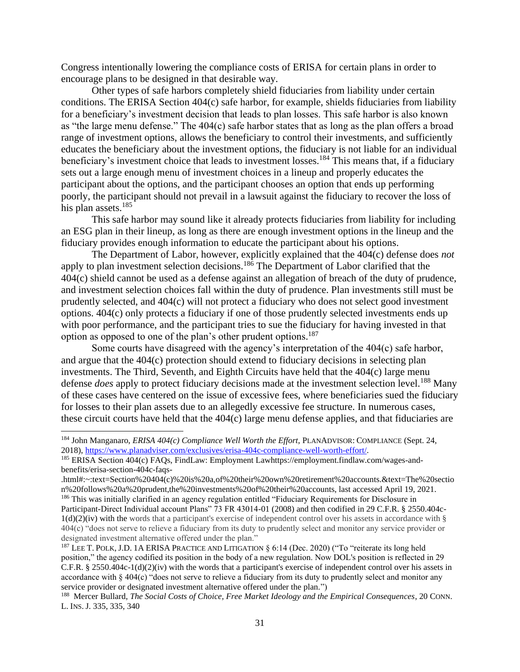Congress intentionally lowering the compliance costs of ERISA for certain plans in order to encourage plans to be designed in that desirable way.

Other types of safe harbors completely shield fiduciaries from liability under certain conditions. The ERISA Section 404(c) safe harbor, for example, shields fiduciaries from liability for a beneficiary's investment decision that leads to plan losses. This safe harbor is also known as "the large menu defense." The 404(c) safe harbor states that as long as the plan offers a broad range of investment options, allows the beneficiary to control their investments, and sufficiently educates the beneficiary about the investment options, the fiduciary is not liable for an individual beneficiary's investment choice that leads to investment losses.<sup>184</sup> This means that, if a fiduciary sets out a large enough menu of investment choices in a lineup and properly educates the participant about the options, and the participant chooses an option that ends up performing poorly, the participant should not prevail in a lawsuit against the fiduciary to recover the loss of his plan assets.<sup>185</sup>

This safe harbor may sound like it already protects fiduciaries from liability for including an ESG plan in their lineup, as long as there are enough investment options in the lineup and the fiduciary provides enough information to educate the participant about his options.

The Department of Labor, however, explicitly explained that the 404(c) defense does *not* apply to plan investment selection decisions.<sup>186</sup> The Department of Labor clarified that the 404(c) shield cannot be used as a defense against an allegation of breach of the duty of prudence, and investment selection choices fall within the duty of prudence. Plan investments still must be prudently selected, and 404(c) will not protect a fiduciary who does not select good investment options. 404(c) only protects a fiduciary if one of those prudently selected investments ends up with poor performance, and the participant tries to sue the fiduciary for having invested in that option as opposed to one of the plan's other prudent options.<sup>187</sup>

Some courts have disagreed with the agency's interpretation of the 404(c) safe harbor, and argue that the 404(c) protection should extend to fiduciary decisions in selecting plan investments. The Third, Seventh, and Eighth Circuits have held that the 404(c) large menu defense *does* apply to protect fiduciary decisions made at the investment selection level.<sup>188</sup> Many of these cases have centered on the issue of excessive fees, where beneficiaries sued the fiduciary for losses to their plan assets due to an allegedly excessive fee structure. In numerous cases, these circuit courts have held that the 404(c) large menu defense applies, and that fiduciaries are

<sup>184</sup> John Manganaro, *ERISA 404(c) Compliance Well Worth the Effort,* PLANADVISOR: COMPLIANCE (Sept. 24, 2018), [https://www.planadviser.com/exclusives/erisa-404c-compliance-well-worth-effort/.](https://www.planadviser.com/exclusives/erisa-404c-compliance-well-worth-effort/)

<sup>185</sup> ERISA Section 404(c) FAQs, FindLaw: Employment Lawhttps://employment.findlaw.com/wages-andbenefits/erisa-section-404c-faqs-

<sup>.</sup>html#:~:text=Section%20404(c)%20is%20a,of%20their%20own%20retirement%20accounts.&text=The%20sectio n%20follows%20a%20prudent,the%20investments%20of%20their%20accounts, last accessed April 19, 2021.

<sup>186</sup> This was initially clarified in an agency regulation entitled "Fiduciary Requirements for Disclosure in Participant-Direct Individual account Plans" 73 FR 43014-01 (2008) and then codified i[n 29 C.F.R. § 2550.404c-](https://1.next.westlaw.com/Link/Document/FullText?findType=L&pubNum=1000547&cite=29CFRS2550.404C-1&originatingDoc=I99944d250e7111debd2ea1c260265a02&refType=LQ&originationContext=document&transitionType=DocumentItem&contextData=(sc.Search)) $1(d)(2)(iv)$  with the words that a participant's exercise of independent control over his assets in accordance with § 404(c) "does not serve to relieve a fiduciary from its duty to prudently select and monitor any service provider or designated investment alternative offered under the plan."

 $187$  LEE T. POLK, J.D. 1A ERISA PRACTICE AND LITIGATION  $\S 6:14$  (Dec. 2020) ("To "reiterate its long held position," the agency codified its position in the body of a new regulation. Now DOL's position is reflected in 29 C.F.R. § 2550.404c-1(d)(2)(iv) with the words that a participant's exercise of independent control over his assets in accordance with § 404(c) "does not serve to relieve a fiduciary from its duty to prudently select and monitor any service provider or designated investment alternative offered under the plan.")

<sup>188</sup> Mercer Bullard, *The Social Costs of Choice, Free Market Ideology and the Empirical Consequences*, 20 CONN. L. INS. J. 335, 335, 340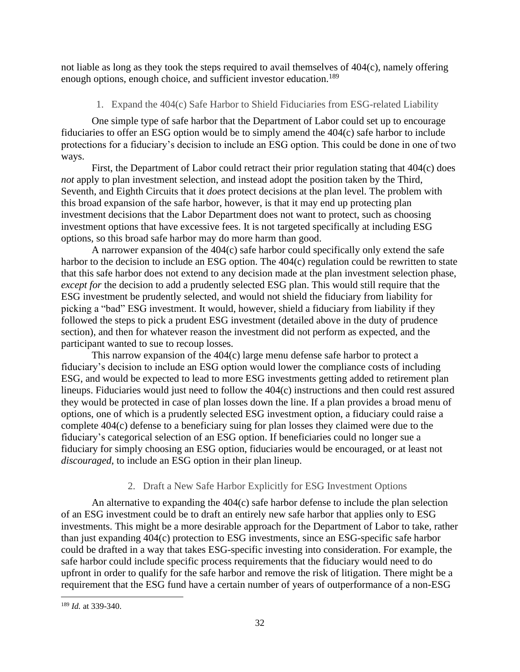<span id="page-34-0"></span>not liable as long as they took the steps required to avail themselves of 404(c), namely offering enough options, enough choice, and sufficient investor education.<sup>189</sup>

## 1. Expand the 404(c) Safe Harbor to Shield Fiduciaries from ESG-related Liability

One simple type of safe harbor that the Department of Labor could set up to encourage fiduciaries to offer an ESG option would be to simply amend the 404(c) safe harbor to include protections for a fiduciary's decision to include an ESG option. This could be done in one of two ways.

First, the Department of Labor could retract their prior regulation stating that 404(c) does *not* apply to plan investment selection, and instead adopt the position taken by the Third, Seventh, and Eighth Circuits that it *does* protect decisions at the plan level. The problem with this broad expansion of the safe harbor, however, is that it may end up protecting plan investment decisions that the Labor Department does not want to protect, such as choosing investment options that have excessive fees. It is not targeted specifically at including ESG options, so this broad safe harbor may do more harm than good.

A narrower expansion of the 404(c) safe harbor could specifically only extend the safe harbor to the decision to include an ESG option. The 404(c) regulation could be rewritten to state that this safe harbor does not extend to any decision made at the plan investment selection phase, *except for* the decision to add a prudently selected ESG plan. This would still require that the ESG investment be prudently selected, and would not shield the fiduciary from liability for picking a "bad" ESG investment. It would, however, shield a fiduciary from liability if they followed the steps to pick a prudent ESG investment (detailed above in the duty of prudence section), and then for whatever reason the investment did not perform as expected, and the participant wanted to sue to recoup losses.

This narrow expansion of the 404(c) large menu defense safe harbor to protect a fiduciary's decision to include an ESG option would lower the compliance costs of including ESG, and would be expected to lead to more ESG investments getting added to retirement plan lineups. Fiduciaries would just need to follow the 404(c) instructions and then could rest assured they would be protected in case of plan losses down the line. If a plan provides a broad menu of options, one of which is a prudently selected ESG investment option, a fiduciary could raise a complete 404(c) defense to a beneficiary suing for plan losses they claimed were due to the fiduciary's categorical selection of an ESG option. If beneficiaries could no longer sue a fiduciary for simply choosing an ESG option, fiduciaries would be encouraged, or at least not *discouraged*, to include an ESG option in their plan lineup.

## 2. Draft a New Safe Harbor Explicitly for ESG Investment Options

<span id="page-34-1"></span>An alternative to expanding the 404(c) safe harbor defense to include the plan selection of an ESG investment could be to draft an entirely new safe harbor that applies only to ESG investments. This might be a more desirable approach for the Department of Labor to take, rather than just expanding 404(c) protection to ESG investments, since an ESG-specific safe harbor could be drafted in a way that takes ESG-specific investing into consideration. For example, the safe harbor could include specific process requirements that the fiduciary would need to do upfront in order to qualify for the safe harbor and remove the risk of litigation. There might be a requirement that the ESG fund have a certain number of years of outperformance of a non-ESG

<sup>189</sup> *Id.* at 339-340.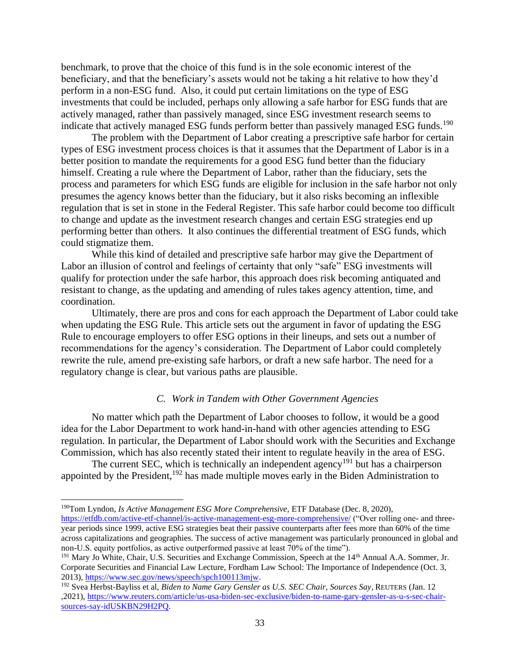benchmark, to prove that the choice of this fund is in the sole economic interest of the beneficiary, and that the beneficiary's assets would not be taking a hit relative to how they'd perform in a non-ESG fund. Also, it could put certain limitations on the type of ESG investments that could be included, perhaps only allowing a safe harbor for ESG funds that are actively managed, rather than passively managed, since ESG investment research seems to indicate that actively managed ESG funds perform better than passively managed ESG funds.<sup>190</sup>

The problem with the Department of Labor creating a prescriptive safe harbor for certain types of ESG investment process choices is that it assumes that the Department of Labor is in a better position to mandate the requirements for a good ESG fund better than the fiduciary himself. Creating a rule where the Department of Labor, rather than the fiduciary, sets the process and parameters for which ESG funds are eligible for inclusion in the safe harbor not only presumes the agency knows better than the fiduciary, but it also risks becoming an inflexible regulation that is set in stone in the Federal Register. This safe harbor could become too difficult to change and update as the investment research changes and certain ESG strategies end up performing better than others. It also continues the differential treatment of ESG funds, which could stigmatize them.

While this kind of detailed and prescriptive safe harbor may give the Department of Labor an illusion of control and feelings of certainty that only "safe" ESG investments will qualify for protection under the safe harbor, this approach does risk becoming antiquated and resistant to change, as the updating and amending of rules takes agency attention, time, and coordination.

Ultimately, there are pros and cons for each approach the Department of Labor could take when updating the ESG Rule. This article sets out the argument in favor of updating the ESG Rule to encourage employers to offer ESG options in their lineups, and sets out a number of recommendations for the agency's consideration. The Department of Labor could completely rewrite the rule, amend pre-existing safe harbors, or draft a new safe harbor. The need for a regulatory change is clear, but various paths are plausible.

#### *C. Work in Tandem with Other Government Agencies*

<span id="page-35-0"></span>No matter which path the Department of Labor chooses to follow, it would be a good idea for the Labor Department to work hand-in-hand with other agencies attending to ESG regulation. In particular, the Department of Labor should work with the Securities and Exchange Commission, which has also recently stated their intent to regulate heavily in the area of ESG.

The current SEC, which is technically an independent agency<sup>191</sup> but has a chairperson appointed by the President,<sup>192</sup> has made multiple moves early in the Biden Administration to

<sup>190</sup>Tom Lyndon, *[Is Active Management ESG More Comprehensive,](file:///C:/Users/jonjm/Downloads/Tom%20Lyndon,%20Is%20Active%20Management%20ESG%20More%20Comprehensive,%20ETF%20Database%20(Dec.%208,%202020),%20https:/etfdb.com/active-etf-channel/is-active-management-esg-more-comprehensive/)* ETF Database (Dec. 8, 2020), [https://etfdb.com/active-etf-channel/is-active-management-esg-more-comprehensive/](file:///C:/Users/jonjm/Downloads/Tom%20Lyndon,%20Is%20Active%20Management%20ESG%20More%20Comprehensive,%20ETF%20Database%20(Dec.%208,%202020),%20https:/etfdb.com/active-etf-channel/is-active-management-esg-more-comprehensive/) ("Over rolling one- and threeyear periods since 1999, active ESG strategies beat their passive counterparts after fees more than 60% of the time across capitalizations and geographies. The success of active management was particularly pronounced in global and non-U.S. equity portfolios, as active outperformed passive at least 70% of the time").

<sup>&</sup>lt;sup>191</sup> Mary Jo White, Chair, U.S. Securities and Exchange Commission, Speech at the 14<sup>th</sup> Annual A.A. Sommer, Jr. Corporate Securities and Financial Law Lecture, Fordham Law School: The Importance of Independence (Oct. 3, 2013), [https://www.sec.gov/news/speech/spch100113mjw.](https://www.sec.gov/news/speech/spch100113mjw)

<sup>192</sup> Svea Herbst-Bayliss et al, *Biden to Name Gary Gensler as U.S. SEC Chair, Sources Say,* REUTERS (Jan. 12 ,2021), [https://www.reuters.com/article/us-usa-biden-sec-exclusive/biden-to-name-gary-gensler-as-u-s-sec-chair](https://www.reuters.com/article/us-usa-biden-sec-exclusive/biden-to-name-gary-gensler-as-u-s-sec-chair-sources-say-idUSKBN29H2PQ)[sources-say-idUSKBN29H2PQ.](https://www.reuters.com/article/us-usa-biden-sec-exclusive/biden-to-name-gary-gensler-as-u-s-sec-chair-sources-say-idUSKBN29H2PQ)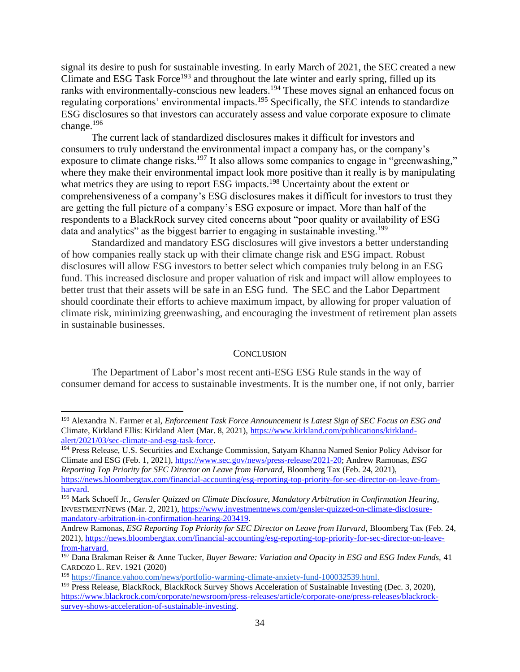signal its desire to push for sustainable investing. In early March of 2021, the SEC created a new Climate and ESG Task Force<sup>193</sup> and throughout the late winter and early spring, filled up its ranks with environmentally-conscious new leaders.<sup>194</sup> These moves signal an enhanced focus on regulating corporations' environmental impacts.<sup>195</sup> Specifically, the SEC intends to standardize ESG disclosures so that investors can accurately assess and value corporate exposure to climate change.<sup>196</sup>

The current lack of standardized disclosures makes it difficult for investors and consumers to truly understand the environmental impact a company has, or the company's exposure to climate change risks.<sup>197</sup> It also allows some companies to engage in "greenwashing," where they make their environmental impact look more positive than it really is by manipulating what metrics they are using to report ESG impacts.<sup>198</sup> Uncertainty about the extent or comprehensiveness of a company's ESG disclosures makes it difficult for investors to trust they are getting the full picture of a company's ESG exposure or impact. More than half of the respondents to a BlackRock survey cited concerns about "poor quality or availability of ESG data and analytics" as the biggest barrier to engaging in sustainable investing.<sup>199</sup>

Standardized and mandatory ESG disclosures will give investors a better understanding of how companies really stack up with their climate change risk and ESG impact. Robust disclosures will allow ESG investors to better select which companies truly belong in an ESG fund. This increased disclosure and proper valuation of risk and impact will allow employees to better trust that their assets will be safe in an ESG fund. The SEC and the Labor Department should coordinate their efforts to achieve maximum impact, by allowing for proper valuation of climate risk, minimizing greenwashing, and encouraging the investment of retirement plan assets in sustainable businesses.

#### **CONCLUSION**

<span id="page-36-0"></span>The Department of Labor's most recent anti-ESG ESG Rule stands in the way of consumer demand for access to sustainable investments. It is the number one, if not only, barrier

<sup>193</sup> Alexandra N. Farmer et al, *Enforcement Task Force Announcement is Latest Sign of SEC Focus on ESG and*  Climate, Kirkland Ellis: Kirkland Alert (Mar. 8, 2021)[, https://www.kirkland.com/publications/kirkland](https://www.kirkland.com/publications/kirkland-alert/2021/03/sec-climate-and-esg-task-force)[alert/2021/03/sec-climate-and-esg-task-force.](https://www.kirkland.com/publications/kirkland-alert/2021/03/sec-climate-and-esg-task-force)

<sup>&</sup>lt;sup>194</sup> Press Release, U.S. Securities and Exchange Commission, Satyam Khanna Named Senior Policy Advisor for Climate and ESG (Feb. 1, 2021), [https://www.sec.gov/news/press-release/2021-20;](https://www.sec.gov/news/press-release/2021-20) Andrew Ramonas, *ESG Reporting Top Priority for SEC Director on Leave from Harvard,* Bloomberg Tax (Feb. 24, 2021), [https://news.bloombergtax.com/financial-accounting/esg-reporting-top-priority-for-sec-director-on-leave-from](https://news.bloombergtax.com/financial-accounting/esg-reporting-top-priority-for-sec-director-on-leave-from-harvard)[harvard.](https://news.bloombergtax.com/financial-accounting/esg-reporting-top-priority-for-sec-director-on-leave-from-harvard)

<sup>195</sup> Mark Schoeff Jr., *Gensler Quizzed on Climate Disclosure, Mandatory Arbitration in Confirmation Hearing,*  INVESTMENTNEWS (Mar. 2, 2021)[, https://www.investmentnews.com/gensler-quizzed-on-climate-disclosure](https://www.investmentnews.com/gensler-quizzed-on-climate-disclosure-mandatory-arbitration-in-confirmation-hearing-203419)[mandatory-arbitration-in-confirmation-hearing-203419.](https://www.investmentnews.com/gensler-quizzed-on-climate-disclosure-mandatory-arbitration-in-confirmation-hearing-203419)

Andrew Ramonas, *ESG Reporting Top Priority for SEC Director on Leave from Harvard,* Bloomberg Tax (Feb. 24, 2021), [https://news.bloombergtax.com/financial-accounting/esg-reporting-top-priority-for-sec-director-on-leave](https://news.bloombergtax.com/financial-accounting/esg-reporting-top-priority-for-sec-director-on-leave-from-harvard)[from-harvard.](https://news.bloombergtax.com/financial-accounting/esg-reporting-top-priority-for-sec-director-on-leave-from-harvard)

<sup>197</sup> Dana Brakman Reiser & Anne Tucker, *Buyer Beware: Variation and Opacity in ESG and ESG Index Funds,* 41 CARDOZO L. REV. 1921 (2020)

<sup>198</sup> [https://finance.yahoo.com/news/portfolio-warming-climate-anxiety-fund-100032539.html.](https://finance.yahoo.com/news/portfolio-warming-climate-anxiety-fund-100032539.html)

<sup>199</sup> Press Release, BlackRock, BlackRock Survey Shows Acceleration of Sustainable Investing (Dec. 3, 2020), [https://www.blackrock.com/corporate/newsroom/press-releases/article/corporate-one/press-releases/blackrock](https://www.blackrock.com/corporate/newsroom/press-releases/article/corporate-one/press-releases/blackrock-survey-shows-acceleration-of-sustainable-investing)[survey-shows-acceleration-of-sustainable-investing.](https://www.blackrock.com/corporate/newsroom/press-releases/article/corporate-one/press-releases/blackrock-survey-shows-acceleration-of-sustainable-investing)